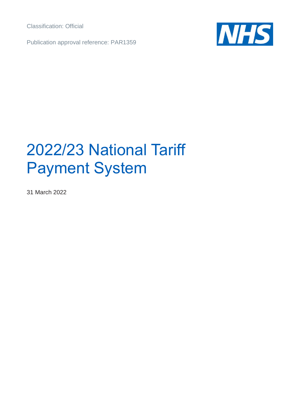Classification: Official

Publication approval reference: PAR1359



# 2022/23 National Tariff Payment System

31 March 2022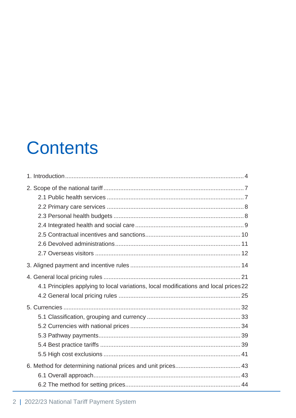# **Contents**

| 4.1 Principles applying to local variations, local modifications and local prices 22 |  |
|--------------------------------------------------------------------------------------|--|
|                                                                                      |  |
|                                                                                      |  |
|                                                                                      |  |
|                                                                                      |  |
|                                                                                      |  |
|                                                                                      |  |
|                                                                                      |  |
|                                                                                      |  |
|                                                                                      |  |
|                                                                                      |  |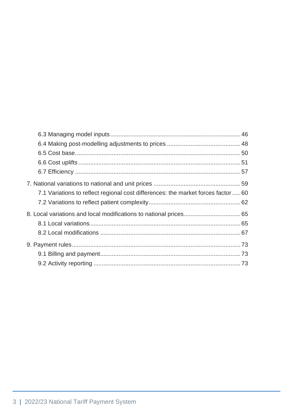| 7.1 Variations to reflect regional cost differences: the market forces factor  60 |  |
|-----------------------------------------------------------------------------------|--|
|                                                                                   |  |
|                                                                                   |  |
|                                                                                   |  |
|                                                                                   |  |
|                                                                                   |  |
|                                                                                   |  |
|                                                                                   |  |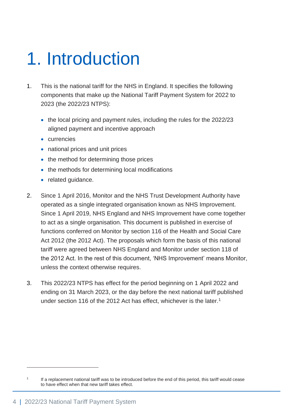# <span id="page-3-0"></span>1. Introduction

- 1. This is the national tariff for the NHS in England. It specifies the following components that make up the National Tariff Payment System for 2022 to 2023 (the 2022/23 NTPS):
	- the local pricing and payment rules, including the rules for the 2022/23 aligned payment and incentive approach
	- currencies
	- national prices and unit prices
	- the method for determining those prices
	- the methods for determining local modifications
	- related guidance.
- 2. Since 1 April 2016, Monitor and the NHS Trust Development Authority have operated as a single integrated organisation known as NHS Improvement. Since 1 April 2019, NHS England and NHS Improvement have come together to act as a single organisation. This document is published in exercise of functions conferred on Monitor by section 116 of the Health and Social Care Act 2012 (the 2012 Act). The proposals which form the basis of this national tariff were agreed between NHS England and Monitor under section 118 of the 2012 Act. In the rest of this document, 'NHS Improvement' means Monitor, unless the context otherwise requires.
- 3. This 2022/23 NTPS has effect for the period beginning on 1 April 2022 and ending on 31 March 2023, or the day before the next national tariff published under section 116 of the 2012 Act has effect, whichever is the later.<sup>1</sup>

<sup>1</sup> If a replacement national tariff was to be introduced before the end of this period, this tariff would cease to have effect when that new tariff takes effect.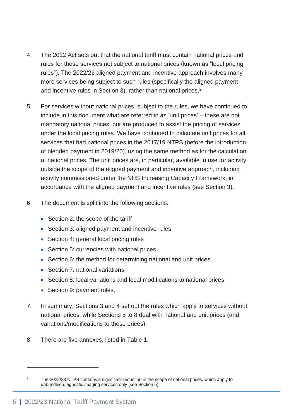- 4. The 2012 Act sets out that the national tariff must contain national prices and rules for those services not subject to national prices (known as "local pricing rules"). The 2022/23 aligned payment and incentive approach involves many more services being subject to such rules (specifically the aligned payment and incentive rules in Section 3), rather than national prices.<sup>2</sup>
- 5. For services without national prices, subject to the rules, we have continued to include in this document what are referred to as 'unit prices' – these are not mandatory national prices, but are produced to assist the pricing of services under the local pricing rules. We have continued to calculate unit prices for all services that had national prices in the 2017/19 NTPS (before the introduction of blended payment in 2019/20), using the same method as for the calculation of national prices. The unit prices are, in particular, available to use for activity outside the scope of the aligned payment and incentive approach, including activity commissioned under the NHS Increasing Capacity Framework, in accordance with the aligned payment and incentive rules (see Section 3).
- 6. The document is split into the following sections:
	- Section 2: the scope of the tariff
	- Section 3: aligned payment and incentive rules
	- Section 4: general local pricing rules
	- Section 5: currencies with national prices
	- Section 6: the method for determining national and unit prices
	- Section 7: national variations
	- Section 8: local variations and local modifications to national prices
	- Section 9: payment rules.
- 7. In summary, Sections 3 and 4 set out the rules which apply to services without national prices, while Sections 5 to 8 deal with national and unit prices (and variations/modifications to those prices).
- 8. There are five annexes, listed in Table 1.

<sup>&</sup>lt;sup>2</sup> The 2022/23 NTPS contains a significant reduction in the scope of national prices, which apply to unbundled diagnostic imaging services only (see Section 5).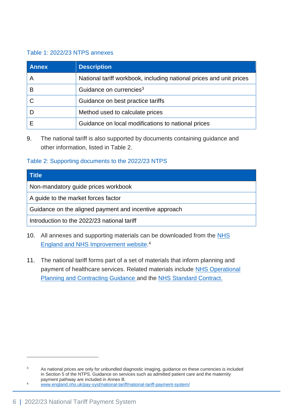#### Table 1: 2022/23 NTPS annexes

| <b>Annex</b> | <b>Description</b>                                                  |
|--------------|---------------------------------------------------------------------|
|              | National tariff workbook, including national prices and unit prices |
| В            | Guidance on currencies <sup>3</sup>                                 |
|              | Guidance on best practice tariffs                                   |
|              | Method used to calculate prices                                     |
|              | Guidance on local modifications to national prices                  |

9. The national tariff is also supported by documents containing guidance and other information, listed in Table 2.

#### Table 2: Supporting documents to the 2022/23 NTPS

| <b>Title</b>                                           |
|--------------------------------------------------------|
| Non-mandatory guide prices workbook                    |
| A guide to the market forces factor                    |
| Guidance on the aligned payment and incentive approach |
| Introduction to the 2022/23 national tariff            |

- 10. All annexes and supporting materials can be downloaded from the NHS [England and NHS Improvement website.](https://www.england.nhs.uk/pay-syst/national-tariff/national-tariff-payment-system/)<sup>4</sup>
- 11. The national tariff forms part of a set of materials that inform planning and payment of healthcare services. Related materials include [NHS Operational](https://www.england.nhs.uk/operational-planning-and-contracting/)  [Planning and Contracting Guidance](https://www.england.nhs.uk/operational-planning-and-contracting/) and the [NHS Standard Contract.](http://www.england.nhs.uk/nhs-standard-contract/)

<sup>&</sup>lt;sup>3</sup> As national prices are only for unbundled diagnostic imaging, guidance on these currencies is included in Section 5 of the NTPS. Guidance on services such as admitted patient care and the maternity payment pathway are included in Annex B.

<sup>4</sup> [www.england.nhs.uk/pay-syst/national-tariff/national-tariff-payment-system/](http://www.england.nhs.uk/pay-syst/national-tariff/national-tariff-payment-system/)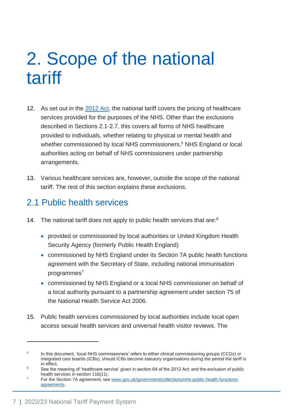# <span id="page-6-0"></span>2. Scope of the national tariff

- 12. As set out in the [2012 Act,](http://www.legislation.gov.uk/ukpga/2012/7/contents/enacted) the national tariff covers the pricing of healthcare services provided for the purposes of the NHS. Other than the exclusions described in Sections 2.1-2.7, this covers all forms of NHS healthcare provided to individuals, whether relating to physical or mental health and whether commissioned by local NHS commissioners,<sup>5</sup> NHS England or local authorities acting on behalf of NHS commissioners under partnership arrangements.
- 13. Various healthcare services are, however, outside the scope of the national tariff. The rest of this section explains these exclusions.

## <span id="page-6-1"></span>2.1 Public health services

- 14. The national tariff does not apply to public health services that are:<sup>6</sup>
	- provided or commissioned by local authorities or United Kingdom Health Security Agency (formerly Public Health England)
	- commissioned by NHS England under its Section 7A public health functions agreement with the Secretary of State, including national immunisation programmes<sup>7</sup>
	- commissioned by NHS England or a local NHS commissioner on behalf of a local authority pursuant to a partnership agreement under section 75 of the National Health Service Act 2006.
- 15. Public health services commissioned by local authorities include local open access sexual health services and universal health visitor reviews. The

<sup>5</sup> In this document, 'local NHS commissioners' refers to either clinical commissioning groups (CCGs) or integrated care boards (ICBs), should ICBs become statutory organisations during the period the tariff is in effect.

<sup>&</sup>lt;sup>6</sup> See the meaning of 'healthcare service' given in section 64 of the 2012 Act; and the exclusion of public health services in section 116(11).

<sup>7</sup> For the Section 7A agreement, see [www.gov.uk/government/collections/nhs-public-health-functions](http://www.gov.uk/government/collections/nhs-public-health-functions-agreements)[agreements.](http://www.gov.uk/government/collections/nhs-public-health-functions-agreements)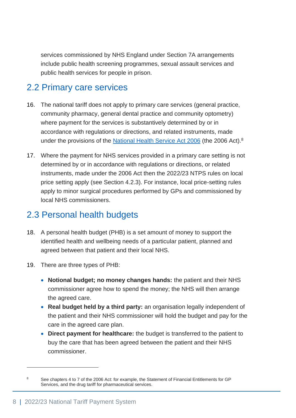services commissioned by NHS England under Section 7A arrangements include public health screening programmes, sexual assault services and public health services for people in prison.

# <span id="page-7-0"></span>2.2 Primary care services

- 16. The national tariff does not apply to primary care services (general practice, community pharmacy, general dental practice and community optometry) where payment for the services is substantively determined by or in accordance with regulations or directions, and related instruments, made under the provisions of the [National Health Service Act 2006](http://www.legislation.gov.uk/ukpga/2006/41/contents) (the 2006 Act).<sup>8</sup>
- 17. Where the payment for NHS services provided in a primary care setting is not determined by or in accordance with regulations or directions, or related instruments, made under the 2006 Act then the 2022/23 NTPS rules on local price setting apply (see Section 4.2.3). For instance, local price-setting rules apply to minor surgical procedures performed by GPs and commissioned by local NHS commissioners.

## <span id="page-7-1"></span>2.3 Personal health budgets

- 18. A personal health budget (PHB) is a set amount of money to support the identified health and wellbeing needs of a particular patient, planned and agreed between that patient and their local NHS.
- 19. There are three types of PHB:
	- **Notional budget; no money changes hands:** the patient and their NHS commissioner agree how to spend the money; the NHS will then arrange the agreed care.
	- **Real budget held by a third party:** an organisation legally independent of the patient and their NHS commissioner will hold the budget and pay for the care in the agreed care plan.
	- **Direct payment for healthcare:** the budget is transferred to the patient to buy the care that has been agreed between the patient and their NHS commissioner.

<sup>&</sup>lt;sup>8</sup> See chapters 4 to 7 of the 2006 Act: for example, the Statement of Financial Entitlements for GP Services, and the drug tariff for pharmaceutical services.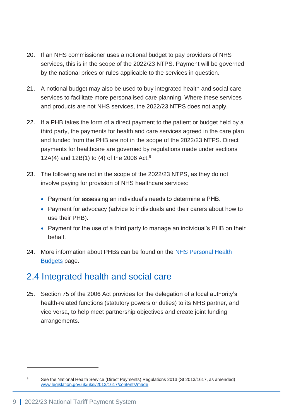- 20. If an NHS commissioner uses a notional budget to pay providers of NHS services, this is in the scope of the 2022/23 NTPS. Payment will be governed by the national prices or rules applicable to the services in question.
- 21. A notional budget may also be used to buy integrated health and social care services to facilitate more personalised care planning. Where these services and products are not NHS services, the 2022/23 NTPS does not apply.
- 22. If a PHB takes the form of a direct payment to the patient or budget held by a third party, the payments for health and care services agreed in the care plan and funded from the PHB are not in the scope of the 2022/23 NTPS. Direct payments for healthcare are governed by regulations made under sections 12A(4) and 12B(1) to (4) of the 2006 Act.<sup>9</sup>
- 23. The following are not in the scope of the 2022/23 NTPS, as they do not involve paying for provision of NHS healthcare services:
	- Payment for assessing an individual's needs to determine a PHB.
	- Payment for advocacy (advice to individuals and their carers about how to use their PHB).
	- Payment for the use of a third party to manage an individual's PHB on their behalf.
- 24. More information about PHBs can be found on the NHS Personal Health [Budgets](https://www.england.nhs.uk/personal-health-budgets/) page.

# <span id="page-8-0"></span>2.4 Integrated health and social care

25. Section 75 of the 2006 Act provides for the delegation of a local authority's health-related functions (statutory powers or duties) to its NHS partner, and vice versa, to help meet partnership objectives and create joint funding arrangements.

<sup>9</sup> See the National Health Service (Direct Payments) Regulations 2013 (SI 2013/1617, as amended) [www.legislation.gov.uk/uksi/2013/1617/contents/made](http://www.legislation.gov.uk/uksi/2013/1617/contents/made)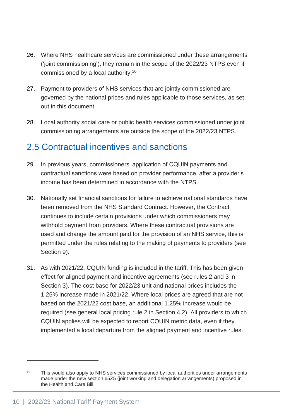- 26. Where NHS healthcare services are commissioned under these arrangements ('joint commissioning'), they remain in the scope of the 2022/23 NTPS even if commissioned by a local authority.<sup>10</sup>
- 27. Payment to providers of NHS services that are jointly commissioned are governed by the national prices and rules applicable to those services, as set out in this document.
- 28. Local authority social care or public health services commissioned under joint commissioning arrangements are outside the scope of the 2022/23 NTPS.

## <span id="page-9-0"></span>2.5 Contractual incentives and sanctions

- 29. In previous years, commissioners' application of CQUIN payments and contractual sanctions were based on provider performance, after a provider's income has been determined in accordance with the NTPS.
- 30. Nationally set financial sanctions for failure to achieve national standards have been removed from the NHS Standard Contract. However, the Contract continues to include certain provisions under which commissioners may withhold payment from providers. Where these contractual provisions are used and change the amount paid for the provision of an NHS service, this is permitted under the rules relating to the making of payments to providers (see Section 9).
- 31. As with 2021/22, CQUIN funding is included in the tariff. This has been given effect for aligned payment and incentive agreements (see rules 2 and 3 in Section 3). The cost base for 2022/23 unit and national prices includes the 1.25% increase made in 2021/22. Where local prices are agreed that are not based on the 2021/22 cost base, an additional 1.25% increase would be required (see general local pricing rule 2 in Section 4.2). All providers to which CQUIN applies will be expected to report CQUIN metric data, even if they implemented a local departure from the aligned payment and incentive rules.

 $10$  This would also apply to NHS services commissioned by local authorities under arrangements made under the new section 65Z5 (joint working and delegation arrangements) proposed in the Health and Care Bill.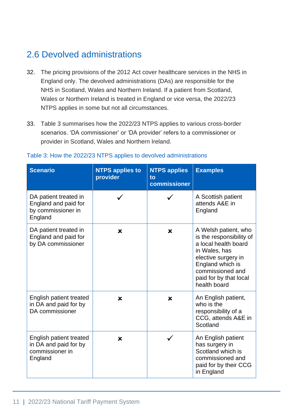# <span id="page-10-0"></span>2.6 Devolved administrations

- 32. The pricing provisions of the 2012 Act cover healthcare services in the NHS in England only. The devolved administrations (DAs) are responsible for the NHS in Scotland, Wales and Northern Ireland. If a patient from Scotland, Wales or Northern Ireland is treated in England or vice versa, the 2022/23 NTPS applies in some but not all circumstances.
- 33. Table 3 summarises how the 2022/23 NTPS applies to various cross-border scenarios. 'DA commissioner' or 'DA provider' refers to a commissioner or provider in Scotland, Wales and Northern Ireland.

| <b>Scenario</b>                                                                | <b>NTPS applies to</b><br>provider | <b>NTPS applies</b><br>to<br>commissioner | <b>Examples</b>                                                                                                                                                                                    |
|--------------------------------------------------------------------------------|------------------------------------|-------------------------------------------|----------------------------------------------------------------------------------------------------------------------------------------------------------------------------------------------------|
| DA patient treated in<br>England and paid for<br>by commissioner in<br>England |                                    |                                           | A Scottish patient<br>attends A&E in<br>England                                                                                                                                                    |
| DA patient treated in<br>England and paid for<br>by DA commissioner            | ×                                  | $\boldsymbol{\mathsf{x}}$                 | A Welsh patient, who<br>is the responsibility of<br>a local health board<br>in Wales, has<br>elective surgery in<br>England which is<br>commissioned and<br>paid for by that local<br>health board |
| English patient treated<br>in DA and paid for by<br>DA commissioner            | ×                                  | $\boldsymbol{\mathsf{x}}$                 | An English patient,<br>who is the<br>responsibility of a<br>CCG, attends A&E in<br>Scotland                                                                                                        |
| English patient treated<br>in DA and paid for by<br>commissioner in<br>England | ×                                  |                                           | An English patient<br>has surgery in<br>Scotland which is<br>commissioned and<br>paid for by their CCG<br>in England                                                                               |

#### Table 3: How the 2022/23 NTPS applies to devolved administrations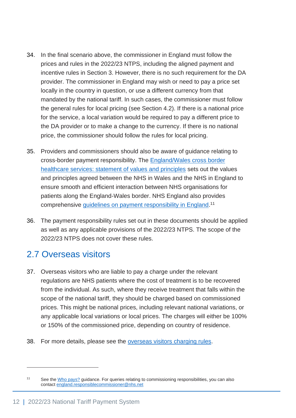- 34. In the final scenario above, the commissioner in England must follow the prices and rules in the 2022/23 NTPS, including the aligned payment and incentive rules in Section 3. However, there is no such requirement for the DA provider. The commissioner in England may wish or need to pay a price set locally in the country in question, or use a different currency from that mandated by the national tariff. In such cases, the commissioner must follow the general rules for local pricing (see Section 4.2). If there is a national price for the service, a local variation would be required to pay a different price to the DA provider or to make a change to the currency. If there is no national price, the commissioner should follow the rules for local pricing.
- 35. Providers and commissioners should also be aware of guidance relating to cross-border payment responsibility. The [England/Wales cross border](http://www.england.nhs.uk/publication/england-wales-crossborder-healthcare-services-statement-of-values-and-principles/)  [healthcare services: statement of values and principles](http://www.england.nhs.uk/publication/england-wales-crossborder-healthcare-services-statement-of-values-and-principles/) sets out the values and principles agreed between the NHS in Wales and the NHS in England to ensure smooth and efficient interaction between NHS organisations for patients along the England-Wales border. NHS England also provides comprehensive [guidelines on payment responsibility in England.](https://www.england.nhs.uk/who-pays/)<sup>11</sup>
- 36. The payment responsibility rules set out in these documents should be applied as well as any applicable provisions of the 2022/23 NTPS. The scope of the 2022/23 NTPS does not cover these rules.

## <span id="page-11-0"></span>2.7 Overseas visitors

- 37. Overseas visitors who are liable to pay a charge under the relevant regulations are NHS patients where the cost of treatment is to be recovered from the individual. As such, where they receive treatment that falls within the scope of the national tariff, they should be charged based on commissioned prices. This might be national prices, including relevant national variations, or any applicable local variations or local prices. The charges will either be 100% or 150% of the commissioned price, depending on country of residence.
- 38. For more details, please see the [overseas visitors charging rules.](https://www.gov.uk/government/publications/how-the-nhs-charges-overseas-visitors-for-nhs-hospital-care/how-the-nhs-charges-overseas-visitors-for-nhs-hospital-care)

<sup>&</sup>lt;sup>11</sup> See th[e Who pays?](https://www.england.nhs.uk/who-pays/) guidance. For queries relating to commissioning responsibilities, you can also contac[t england.responsiblecommissioner@nhs.net](file://///irnhsft.local/monitor/Pricing%20Data/Sector%20Involvement/2020-XX%20Tariff/Projects/Writing%20the%202020%20tariff/2020%20s118/2020%20s118%20package/england.responsiblecommissioner@nhs.net)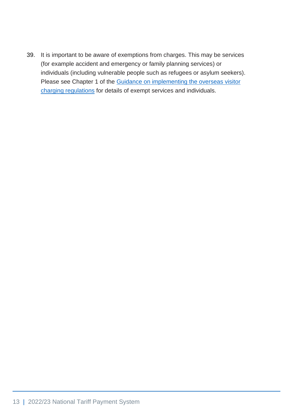39. It is important to be aware of exemptions from charges. This may be services (for example accident and emergency or family planning services) or individuals (including vulnerable people such as refugees or asylum seekers). Please see Chapter 1 of the Guidance on implementing the overseas visitor [charging regulations](https://www.gov.uk/government/publications/overseas-nhs-visitors-implementing-the-charging-regulations) for details of exempt services and individuals.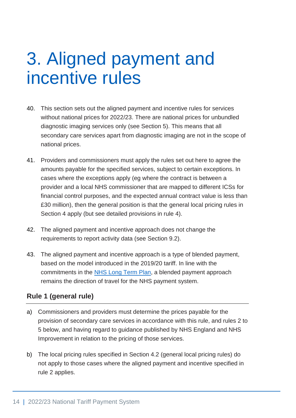# <span id="page-13-0"></span>3. Aligned payment and incentive rules

- 40. This section sets out the aligned payment and incentive rules for services without national prices for 2022/23. There are national prices for unbundled diagnostic imaging services only (see Section 5). This means that all secondary care services apart from diagnostic imaging are not in the scope of national prices.
- 41. Providers and commissioners must apply the rules set out here to agree the amounts payable for the specified services, subject to certain exceptions. In cases where the exceptions apply (eg where the contract is between a provider and a local NHS commissioner that are mapped to different ICSs for financial control purposes, and the expected annual contract value is less than £30 million), then the general position is that the general local pricing rules in Section 4 apply (but see detailed provisions in rule 4).
- 42. The aligned payment and incentive approach does not change the requirements to report activity data (see Section 9.2).
- 43. The aligned payment and incentive approach is a type of blended payment, based on the model introduced in the 2019/20 tariff. In line with the commitments in the [NHS Long Term Plan,](https://www.longtermplan.nhs.uk/) a blended payment approach remains the direction of travel for the NHS payment system.

## **Rule 1 (general rule)**

- a) Commissioners and providers must determine the prices payable for the provision of secondary care services in accordance with this rule, and rules 2 to 5 below, and having regard to guidance published by NHS England and NHS Improvement in relation to the pricing of those services.
- b) The local pricing rules specified in Section 4.2 (general local pricing rules) do not apply to those cases where the aligned payment and incentive specified in rule 2 applies.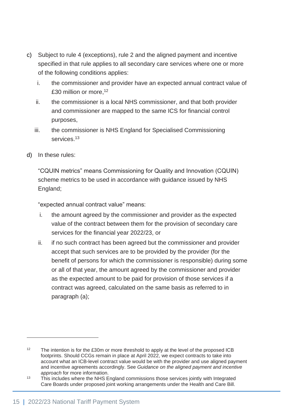- c) Subject to rule 4 (exceptions), rule 2 and the aligned payment and incentive specified in that rule applies to all secondary care services where one or more of the following conditions applies:
	- i. the commissioner and provider have an expected annual contract value of £30 million or more, 12
	- ii. the commissioner is a local NHS commissioner, and that both provider and commissioner are mapped to the same ICS for financial control purposes,
	- iii. the commissioner is NHS England for Specialised Commissioning services.<sup>13</sup>
- d) In these rules:

"CQUIN metrics" means Commissioning for Quality and Innovation (CQUIN) scheme metrics to be used in accordance with guidance issued by NHS England;

"expected annual contract value" means:

- i. the amount agreed by the commissioner and provider as the expected value of the contract between them for the provision of secondary care services for the financial year 2022/23, or
- ii. if no such contract has been agreed but the commissioner and provider accept that such services are to be provided by the provider (for the benefit of persons for which the commissioner is responsible) during some or all of that year, the amount agreed by the commissioner and provider as the expected amount to be paid for provision of those services if a contract was agreed, calculated on the same basis as referred to in paragraph (a);

<sup>&</sup>lt;sup>12</sup> The intention is for the £30m or more threshold to apply at the level of the proposed ICB footprints. Should CCGs remain in place at April 2022, we expect contracts to take into account what an ICB-level contract value would be with the provider and use aligned payment and incentive agreements accordingly. See *Guidance on the aligned payment and incentive approach* for more information.

 $13$  This includes where the NHS England commissions those services jointly with Integrated Care Boards under proposed joint working arrangements under the Health and Care Bill.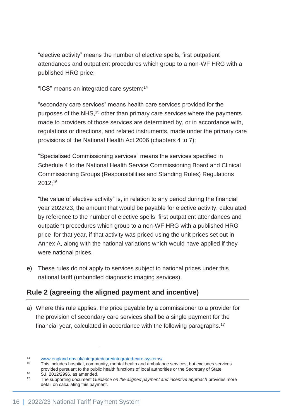"elective activity" means the number of elective spells, first outpatient attendances and outpatient procedures which group to a non-WF HRG with a published HRG price;

"ICS" means an integrated care system; 14

"secondary care services" means health care services provided for the purposes of the NHS,<sup>15</sup> other than primary care services where the payments made to providers of those services are determined by, or in accordance with, regulations or directions, and related instruments, made under the primary care provisions of the National Health Act 2006 (chapters 4 to 7);

"Specialised Commissioning services" means the services specified in Schedule 4 to the National Health Service Commissioning Board and Clinical Commissioning Groups (Responsibilities and Standing Rules) Regulations 2012;<sup>16</sup>

"the value of elective activity" is, in relation to any period during the financial year 2022/23, the amount that would be payable for elective activity, calculated by reference to the number of elective spells, first outpatient attendances and outpatient procedures which group to a non-WF HRG with a published HRG price for that year, if that activity was priced using the unit prices set out in Annex A, along with the national variations which would have applied if they were national prices.

e) These rules do not apply to services subject to national prices under this national tariff (unbundled diagnostic imaging services).

## **Rule 2 (agreeing the aligned payment and incentive)**

a) Where this rule applies, the price payable by a commissioner to a provider for the provision of secondary care services shall be a single payment for the financial year, calculated in accordance with the following paragraphs.<sup>17</sup>

<sup>16</sup> S.I. 2012/2996, as amended.

<sup>14</sup> [www.england.nhs.uk/integratedcare/integrated-care-systems/](http://www.england.nhs.uk/integratedcare/integrated-care-systems/)

<sup>15</sup> This includes hospital, community, mental health and ambulance services, but excludes services provided pursuant to the public health functions of local authorities or the Secretary of State

<sup>17</sup> The supporting document *Guidance on the aligned payment and incentive approach* provides more detail on calculating this payment.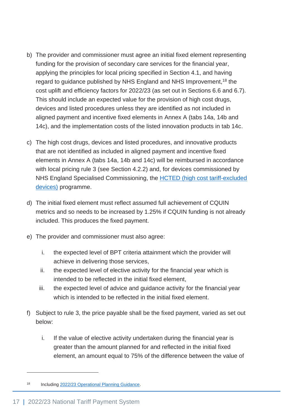- b) The provider and commissioner must agree an initial fixed element representing funding for the provision of secondary care services for the financial year, applying the principles for local pricing specified in Section 4.1, and having regard to guidance published by NHS England and NHS Improvement,<sup>18</sup> the cost uplift and efficiency factors for 2022/23 (as set out in Sections 6.6 and 6.7). This should include an expected value for the provision of high cost drugs, devices and listed procedures unless they are identified as not included in aligned payment and incentive fixed elements in Annex A (tabs 14a, 14b and 14c), and the implementation costs of the listed innovation products in tab 14c.
- c) The high cost drugs, devices and listed procedures, and innovative products that are not identified as included in aligned payment and incentive fixed elements in Annex A (tabs 14a, 14b and 14c) will be reimbursed in accordance with local pricing rule 3 (see Section 4.2.2) and, for devices commissioned by NHS England Specialised Commissioning, the [HCTED \(high cost tariff-excluded](https://www.england.nhs.uk/commissioning/spec-services/key-docs/medical-devices/)  [devices\)](https://www.england.nhs.uk/commissioning/spec-services/key-docs/medical-devices/) programme.
- d) The initial fixed element must reflect assumed full achievement of CQUIN metrics and so needs to be increased by 1.25% if CQUIN funding is not already included. This produces the fixed payment.
- e) The provider and commissioner must also agree:
	- i. the expected level of BPT criteria attainment which the provider will achieve in delivering those services,
	- ii. the expected level of elective activity for the financial year which is intended to be reflected in the initial fixed element,
	- iii. the expected level of advice and guidance activity for the financial year which is intended to be reflected in the initial fixed element.
- f) Subject to rule 3, the price payable shall be the fixed payment, varied as set out below:
	- i. If the value of elective activity undertaken during the financial year is greater than the amount planned for and reflected in the initial fixed element, an amount equal to 75% of the difference between the value of

<sup>18</sup> Includin[g 2022/23 Operational Planning Guidance.](https://www.england.nhs.uk/operational-planning-and-contracting/)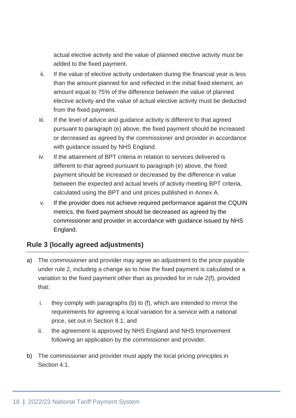actual elective activity and the value of planned elective activity must be added to the fixed payment.

- ii. If the value of elective activity undertaken during the financial year is less than the amount planned for and reflected in the initial fixed element, an amount equal to 75% of the difference between the value of planned elective activity and the value of actual elective activity must be deducted from the fixed payment.
- iii. If the level of advice and guidance activity is different to that agreed pursuant to paragraph (e) above, the fixed payment should be increased or decreased as agreed by the commissioner and provider in accordance with guidance issued by NHS England.
- iv. If the attainment of BPT criteria in relation to services delivered is different to that agreed pursuant to paragraph (e) above, the fixed payment should be increased or decreased by the difference in value between the expected and actual levels of activity meeting BPT criteria, calculated using the BPT and unit prices published in Annex A.
- v. If the provider does not achieve required performance against the CQUIN metrics, the fixed payment should be decreased as agreed by the commissioner and provider in accordance with guidance issued by NHS England.

## **Rule 3 (locally agreed adjustments)**

- a) The commissioner and provider may agree an adjustment to the price payable under rule 2, including a change as to how the fixed payment is calculated or a variation to the fixed payment other than as provided for in rule 2(f), provided that:
	- i. they comply with paragraphs (b) to (f), which are intended to mirror the requirements for agreeing a local variation for a service with a national price, set out in Section 8.1; and
	- ii. the agreement is approved by NHS England and NHS Improvement following an application by the commissioner and provider.
- b) The commissioner and provider must apply the local pricing principles in Section 4.1.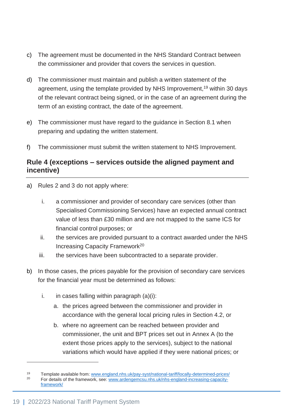- c) The agreement must be documented in the [NHS Standard Contract](https://www.england.nhs.uk/nhs-standard-contract/) between the commissioner and provider that covers the services in question.
- d) The commissioner must maintain and publish a written statement of the agreement, using the template provided by NHS Improvement,<sup>19</sup> within 30 days of the relevant contract being signed, or in the case of an agreement during the term of an existing contract, the date of the agreement.
- e) The commissioner must have regard to the guidance in Section 8.1 when preparing and updating the written statement.
- f) The commissioner must submit the written statement to NHS Improvement.

### **Rule 4 (exceptions – services outside the aligned payment and incentive)**

- a) Rules 2 and 3 do not apply where:
	- i. a commissioner and provider of secondary care services (other than Specialised Commissioning Services) have an expected annual contract value of less than £30 million and are not mapped to the same ICS for financial control purposes; or
	- ii. the services are provided pursuant to a contract awarded under the NHS Increasing Capacity Framework<sup>20</sup>
	- iii. the services have been subcontracted to a separate provider.
- b) In those cases, the prices payable for the provision of secondary care services for the financial year must be determined as follows:
	- i. in cases falling within paragraph  $(a)(i)$ :
		- a. the prices agreed between the commissioner and provider in accordance with the general local pricing rules in Section 4.2, or
		- b. where no agreement can be reached between provider and commissioner, the unit and BPT prices set out in Annex A (to the extent those prices apply to the services), subject to the national variations which would have applied if they were national prices; or

<sup>19</sup> Template available from: [www.england.nhs.uk/pay-syst/national-tariff/locally-determined-prices/](https://improvement.nhs.uk/resources/locally-determined-prices/)<br>20 Eer details of the framework, soo: www.ardonaemscu.phs.uk/phs.orgland.increasing.capacity <sup>20</sup> For details of the framework, see: [www.ardengemcsu.nhs.uk/nhs-england-increasing-capacity](http://www.ardengemcsu.nhs.uk/nhs-england-increasing-capacity-framework/)[framework/](http://www.ardengemcsu.nhs.uk/nhs-england-increasing-capacity-framework/)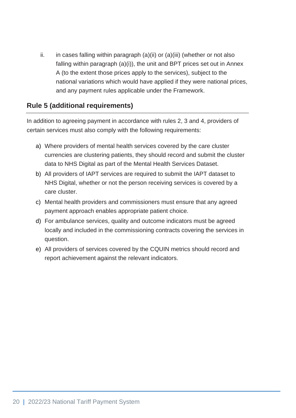ii. in cases falling within paragraph  $(a)(ii)$  or  $(a)(iii)$  (whether or not also falling within paragraph (a)(i)), the unit and BPT prices set out in Annex A (to the extent those prices apply to the services), subject to the national variations which would have applied if they were national prices, and any payment rules applicable under the Framework.

### **Rule 5 (additional requirements)**

In addition to agreeing payment in accordance with rules 2, 3 and 4, providers of certain services must also comply with the following requirements:

- a) Where providers of mental health services covered by the care cluster currencies are clustering patients, they should record and submit the cluster data to NHS Digital as part of the Mental Health Services Dataset.
- b) All providers of IAPT services are required to submit the IAPT dataset to NHS Digital, whether or not the person receiving services is covered by a care cluster.
- c) Mental health providers and commissioners must ensure that any agreed payment approach enables appropriate patient choice.
- d) For ambulance services, quality and outcome indicators must be agreed locally and included in the commissioning contracts covering the services in question.
- e) All providers of services covered by the CQUIN metrics should record and report achievement against the relevant indicators.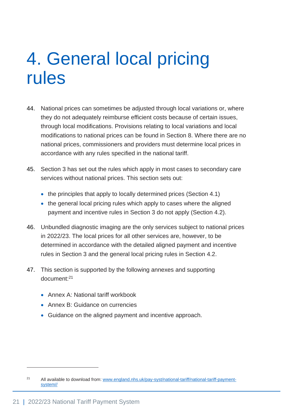# <span id="page-20-0"></span>4. General local pricing rules

- 44. National prices can sometimes be adjusted through local variations or, where they do not adequately reimburse efficient costs because of certain issues, through local modifications. Provisions relating to local variations and local modifications to national prices can be found in Section 8. Where there are no national prices, commissioners and providers must determine local prices in accordance with any rules specified in the national tariff.
- 45. Section 3 has set out the rules which apply in most cases to secondary care services without national prices. This section sets out:
	- the principles that apply to locally determined prices (Section 4.1)
	- the general local pricing rules which apply to cases where the aligned payment and incentive rules in Section 3 do not apply (Section 4.2).
- 46. Unbundled diagnostic imaging are the only services subject to national prices in 2022/23. The local prices for all other services are, however, to be determined in accordance with the detailed aligned payment and incentive rules in Section 3 and the general local pricing rules in Section 4.2.
- 47. This section is supported by the following annexes and supporting document:<sup>21</sup>
	- Annex A: National tariff workbook
	- Annex B: Guidance on currencies
	- Guidance on the aligned payment and incentive approach.

<sup>&</sup>lt;sup>21</sup> All available to download from: [www.england.nhs.uk/pay-syst/national-tariff/national-tariff-payment](https://improvement.nhs.uk/resources/national-tariff/)[system//](https://improvement.nhs.uk/resources/national-tariff/)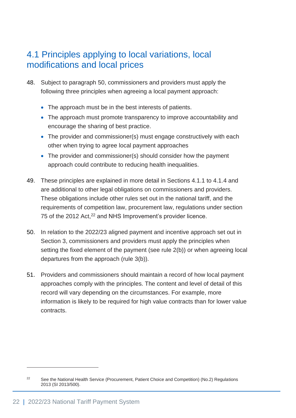## <span id="page-21-0"></span>4.1 Principles applying to local variations, local modifications and local prices

- 48. Subject to paragraph [50,](#page-21-1) commissioners and providers must apply the following three principles when agreeing a local payment approach:
	- The approach must be in the best interests of patients.
	- The approach must promote transparency to improve accountability and encourage the sharing of best practice.
	- The provider and commissioner(s) must engage constructively with each other when trying to agree local payment approaches
	- The provider and commissioner(s) should consider how the payment approach could contribute to reducing health inequalities.
- 49. These principles are explained in more detail in Sections 4.1.1 to 4.1.4 and are additional to other legal obligations on commissioners and providers. These obligations include other rules set out in the national tariff, and the requirements of competition law, procurement law, regulations under section 75 of the 2012 Act,<sup>22</sup> and NHS Improvement's provider licence.
- <span id="page-21-1"></span>50. In relation to the 2022/23 aligned payment and incentive approach set out in Section 3, commissioners and providers must apply the principles when setting the fixed element of the payment (see rule 2(b)) or when agreeing local departures from the approach (rule 3(b)).
- 51. Providers and commissioners should maintain a record of how local payment approaches comply with the principles. The content and level of detail of this record will vary depending on the circumstances. For example, more information is likely to be required for high value contracts than for lower value contracts.

<sup>&</sup>lt;sup>22</sup> See the National Health Service (Procurement, Patient Choice and Competition) (No.2) Regulations 2013 (SI 2013/500).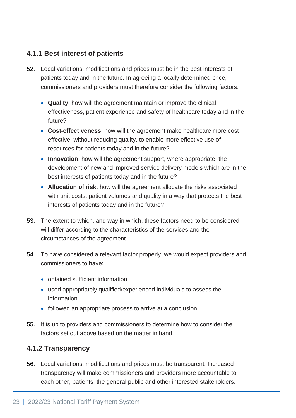### **4.1.1 Best interest of patients**

- 52. Local variations, modifications and prices must be in the best interests of patients today and in the future. In agreeing a locally determined price, commissioners and providers must therefore consider the following factors:
	- **Quality**: how will the agreement maintain or improve the clinical effectiveness, patient experience and safety of healthcare today and in the future?
	- **Cost-effectiveness**: how will the agreement make healthcare more cost effective, without reducing quality, to enable more effective use of resources for patients today and in the future?
	- **Innovation**: how will the agreement support, where appropriate, the development of new and improved service delivery models which are in the best interests of patients today and in the future?
	- **Allocation of risk**: how will the agreement allocate the risks associated with unit costs, patient volumes and quality in a way that protects the best interests of patients today and in the future?
- 53. The extent to which, and way in which, these factors need to be considered will differ according to the characteristics of the services and the circumstances of the agreement.
- 54. To have considered a relevant factor properly, we would expect providers and commissioners to have:
	- obtained sufficient information
	- used appropriately qualified/experienced individuals to assess the information
	- followed an appropriate process to arrive at a conclusion.
- 55. It is up to providers and commissioners to determine how to consider the factors set out above based on the matter in hand.

### **4.1.2 Transparency**

56. Local variations, modifications and prices must be transparent. Increased transparency will make commissioners and providers more accountable to each other, patients, the general public and other interested stakeholders.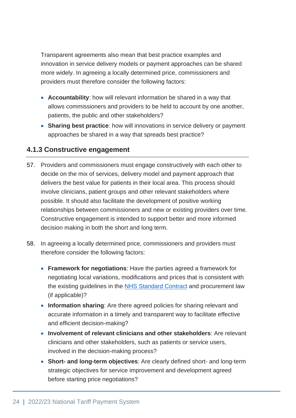Transparent agreements also mean that best practice examples and innovation in service delivery models or payment approaches can be shared more widely. In agreeing a locally determined price, commissioners and providers must therefore consider the following factors:

- **Accountability**: how will relevant information be shared in a way that allows commissioners and providers to be held to account by one another, patients, the public and other stakeholders?
- **Sharing best practice**: how will innovations in service delivery or payment approaches be shared in a way that spreads best practice?

### **4.1.3 Constructive engagement**

- 57. Providers and commissioners must engage constructively with each other to decide on the mix of services, delivery model and payment approach that delivers the best value for patients in their local area. This process should involve clinicians, patient groups and other relevant stakeholders where possible. It should also facilitate the development of positive working relationships between commissioners and new or existing providers over time. Constructive engagement is intended to support better and more informed decision making in both the short and long term.
- 58. In agreeing a locally determined price, commissioners and providers must therefore consider the following factors:
	- **Framework for negotiations**: Have the parties agreed a framework for negotiating local variations, modifications and prices that is consistent with the existing guidelines in the [NHS Standard Contract](https://www.england.nhs.uk/nhs-standard-contract/) and procurement law (if applicable)?
	- **Information sharing**: Are there agreed policies for sharing relevant and accurate information in a timely and transparent way to facilitate effective and efficient decision-making?
	- **Involvement of relevant clinicians and other stakeholders**: Are relevant clinicians and other stakeholders, such as patients or service users, involved in the decision-making process?
	- **Short- and long-term objectives**: Are clearly defined short- and long-term strategic objectives for service improvement and development agreed before starting price negotiations?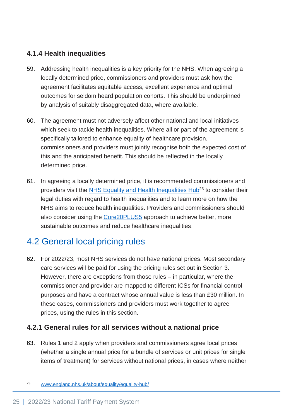## **4.1.4 Health inequalities**

- 59. Addressing health inequalities is a key priority for the NHS. When agreeing a locally determined price, commissioners and providers must ask how the agreement facilitates equitable access, excellent experience and optimal outcomes for seldom heard population cohorts. This should be underpinned by analysis of suitably disaggregated data, where available.
- 60. The agreement must not adversely affect other national and local initiatives which seek to tackle health inequalities. Where all or part of the agreement is specifically tailored to enhance equality of healthcare provision, commissioners and providers must jointly recognise both the expected cost of this and the anticipated benefit. This should be reflected in the locally determined price.
- 61. In agreeing a locally determined price, it is recommended commissioners and providers visit the [NHS Equality and Health Inequalities Hub](https://www.england.nhs.uk/about/equality/equality-hub/)<sup>23</sup> to consider their legal duties with regard to health inequalities and to learn more on how the NHS aims to reduce health inequalities. Providers and commissioners should also consider using the [Core20PLUS5](https://www.england.nhs.uk/about/equality/equality-hub/core20plus5/) approach to achieve better, more sustainable outcomes and reduce healthcare inequalities.

## <span id="page-24-0"></span>4.2 General local pricing rules

62. For 2022/23, most NHS services do not have national prices. Most secondary care services will be paid for using the pricing rules set out in Section 3. However, there are exceptions from those rules – in particular, where the commissioner and provider are mapped to different ICSs for financial control purposes and have a contract whose annual value is less than £30 million. In these cases, commissioners and providers must work together to agree prices, using the rules in this section.

### **4.2.1 General rules for all services without a national price**

63. Rules 1 and 2 apply when providers and commissioners agree local prices (whether a single annual price for a bundle of services or unit prices for single items of treatment) for services without national prices, in cases where neither

<sup>23</sup> [www.england.nhs.uk/about/equality/equality-hub/](https://www.england.nhs.uk/about/equality/equality-hub/)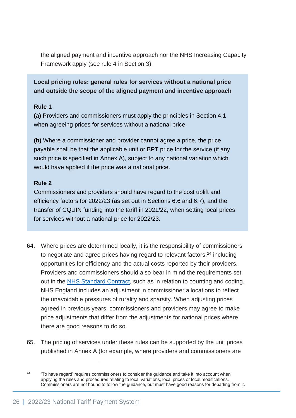the aligned payment and incentive approach nor the NHS Increasing Capacity Framework apply (see rule 4 in Section 3).

### **Local pricing rules: general rules for services without a national price and outside the scope of the aligned payment and incentive approach**

#### **Rule 1**

**(a)** Providers and commissioners must apply the principles in Section 4.1 when agreeing prices for services without a national price.

**(b)** Where a commissioner and provider cannot agree a price, the price payable shall be that the applicable unit or BPT price for the service (if any such price is specified in Annex A), subject to any national variation which would have applied if the price was a national price.

#### **Rule 2**

Commissioners and providers should have regard to the cost uplift and efficiency factors for 2022/23 (as set out in Sections 6.6 and 6.7), and the transfer of CQUIN funding into the tariff in 2021/22, when setting local prices for services without a national price for 2022/23.

- 64. Where prices are determined locally, it is the responsibility of commissioners to negotiate and agree prices having regard to relevant factors,<sup>24</sup> including opportunities for efficiency and the actual costs reported by their providers. Providers and commissioners should also bear in mind the requirements set out in the [NHS Standard Contract,](https://www.england.nhs.uk/nhs-standard-contract/) such as in relation to counting and coding. NHS England includes an adjustment in commissioner allocations to reflect the unavoidable pressures of rurality and sparsity. When adjusting prices agreed in previous years, commissioners and providers may agree to make price adjustments that differ from the adjustments for national prices where there are good reasons to do so.
- 65. The pricing of services under these rules can be supported by the unit prices published in Annex A (for example, where providers and commissioners are

 $24$  'To have regard' requires commissioners to consider the guidance and take it into account when applying the rules and procedures relating to local variations, local prices or local modifications. Commissioners are not bound to follow the guidance, but must have good reasons for departing from it.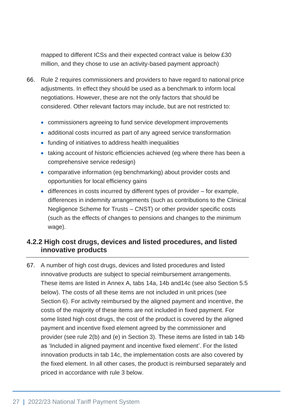mapped to different ICSs and their expected contract value is below £30 million, and they chose to use an activity-based payment approach)

- 66. Rule 2 requires commissioners and providers to have regard to national price adjustments. In effect they should be used as a benchmark to inform local negotiations. However, these are not the only factors that should be considered. Other relevant factors may include, but are not restricted to:
	- commissioners agreeing to fund service development improvements
	- additional costs incurred as part of any agreed service transformation
	- funding of initiatives to address health inequalities
	- taking account of historic efficiencies achieved (eg where there has been a comprehensive service redesign)
	- comparative information (eg benchmarking) about provider costs and opportunities for local efficiency gains
	- differences in costs incurred by different types of provider for example, differences in indemnity arrangements (such as contributions to the Clinical Negligence Scheme for Trusts – CNST) or other provider specific costs (such as the effects of changes to pensions and changes to the minimum wage).

## **4.2.2 High cost drugs, devices and listed procedures, and listed innovative products**

67. A number of high cost drugs, devices and listed procedures and listed innovative products are subject to special reimbursement arrangements. These items are listed in Annex A, tabs 14a, 14b and14c (see also Section 5.5 below). The costs of all these items are not included in unit prices (see Section 6). For activity reimbursed by the aligned payment and incentive, the costs of the majority of these items are not included in fixed payment. For some listed high cost drugs, the cost of the product is covered by the aligned payment and incentive fixed element agreed by the commissioner and provider (see rule 2(b) and (e) in Section 3). These items are listed in tab 14b as 'Included in aligned payment and incentive fixed element'. For the listed innovation products in tab 14c, the implementation costs are also covered by the fixed element. In all other cases, the product is reimbursed separately and priced in accordance with rule 3 below.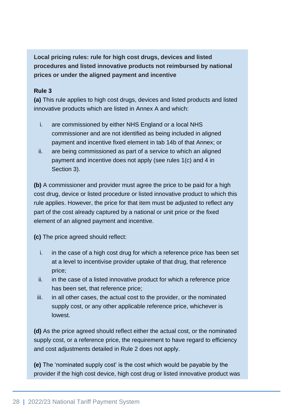**Local pricing rules: rule for high cost drugs, devices and listed procedures and listed innovative products not reimbursed by national prices or under the aligned payment and incentive**

#### **Rule 3**

**(a)** This rule applies to high cost drugs, devices and listed products and listed innovative products which are listed in Annex A and which:

- i. are commissioned by either NHS England or a local NHS commissioner and are not identified as being included in aligned payment and incentive fixed element in tab 14b of that Annex; or
- ii. are being commissioned as part of a service to which an aligned payment and incentive does not apply (see rules 1(c) and 4 in Section 3).

**(b)** A commissioner and provider must agree the price to be paid for a high cost drug, device or listed procedure or listed innovative product to which this rule applies. However, the price for that item must be adjusted to reflect any part of the cost already captured by a national or unit price or the fixed element of an aligned payment and incentive.

**(c)** The price agreed should reflect:

- i. in the case of a high cost drug for which a reference price has been set at a level to incentivise provider uptake of that drug, that reference price;
- ii. in the case of a listed innovative product for which a reference price has been set, that reference price;
- iii. in all other cases, the actual cost to the provider, or the nominated supply cost, or any other applicable reference price, whichever is lowest.

**(d)** As the price agreed should reflect either the actual cost, or the nominated supply cost, or a reference price, the requirement to have regard to efficiency and cost adjustments detailed in Rule 2 does not apply.

**(e)** The 'nominated supply cost' is the cost which would be payable by the provider if the high cost device, high cost drug or listed innovative product was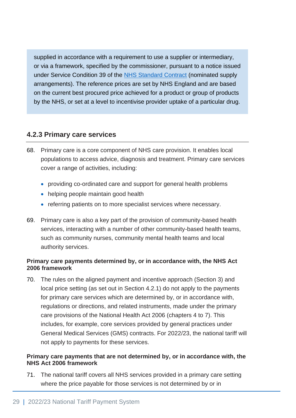supplied in accordance with a requirement to use a supplier or intermediary, or via a framework, specified by the commissioner, pursuant to a notice issued under Service Condition 39 of the [NHS Standard Contract](https://www.england.nhs.uk/nhs-standard-contract/) (nominated supply arrangements). The reference prices are set by NHS England and are based on the current best procured price achieved for a product or group of products by the NHS, or set at a level to incentivise provider uptake of a particular drug.

#### **4.2.3 Primary care services**

- 68. Primary care is a core component of NHS care provision. It enables local populations to access advice, diagnosis and treatment. Primary care services cover a range of activities, including:
	- providing co-ordinated care and support for general health problems
	- helping people maintain good health
	- referring patients on to more specialist services where necessary.
- 69. Primary care is also a key part of the provision of community-based health services, interacting with a number of other community-based health teams, such as community nurses, community mental health teams and local authority services.

#### **Primary care payments determined by, or in accordance with, the NHS Act 2006 framework**

70. The rules on the aligned payment and incentive approach (Section 3) and local price setting (as set out in Section 4.2.1) do not apply to the payments for primary care services which are determined by, or in accordance with, regulations or directions, and related instruments, made under the primary care provisions of the National Health Act 2006 (chapters 4 to 7). This includes, for example, core services provided by general practices under General Medical Services (GMS) contracts. For 2022/23, the national tariff will not apply to payments for these services.

#### **Primary care payments that are not determined by, or in accordance with, the NHS Act 2006 framework**

71. The national tariff covers all NHS services provided in a primary care setting where the price payable for those services is not determined by or in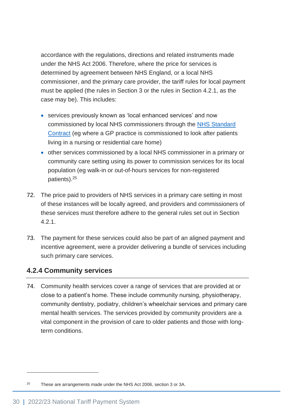accordance with the regulations, directions and related instruments made under the NHS Act 2006. Therefore, where the price for services is determined by agreement between NHS England, or a local NHS commissioner, and the primary care provider, the tariff rules for local payment must be applied (the rules in Section 3 or the rules in Section 4.2.1, as the case may be). This includes:

- services previously known as 'local enhanced services' and now commissioned by local NHS commissioners through the [NHS Standard](https://www.england.nhs.uk/nhs-standard-contract/)  [Contract](https://www.england.nhs.uk/nhs-standard-contract/) (eg where a GP practice is commissioned to look after patients living in a nursing or residential care home)
- other services commissioned by a local NHS commissioner in a primary or community care setting using its power to commission services for its local population (eg walk-in or out-of-hours services for non-registered patients).<sup>25</sup>
- 72. The price paid to providers of NHS services in a primary care setting in most of these instances will be locally agreed, and providers and commissioners of these services must therefore adhere to the general rules set out in Section 4.2.1.
- 73. The payment for these services could also be part of an aligned payment and incentive agreement, were a provider delivering a bundle of services including such primary care services.

### **4.2.4 Community services**

74. Community health services cover a range of services that are provided at or close to a patient's home. These include community nursing, physiotherapy, community dentistry, podiatry, children's wheelchair services and primary care mental health services. The services provided by community providers are a vital component in the provision of care to older patients and those with longterm conditions.

 $25$  These are arrangements made under the NHS Act 2006, section 3 or 3A.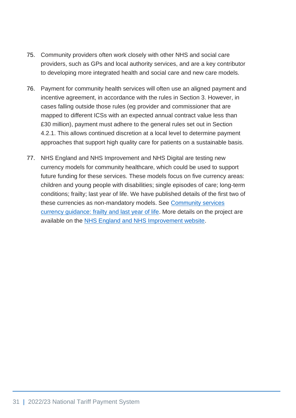- 75. Community providers often work closely with other NHS and social care providers, such as GPs and local authority services, and are a key contributor to developing more integrated health and social care and new care models.
- 76. Payment for community health services will often use an aligned payment and incentive agreement, in accordance with the rules in Section 3. However, in cases falling outside those rules (eg provider and commissioner that are mapped to different ICSs with an expected annual contract value less than £30 million), payment must adhere to the general rules set out in Section 4.2.1. This allows continued discretion at a local level to determine payment approaches that support high quality care for patients on a sustainable basis.
- 77. NHS England and NHS Improvement and NHS Digital are testing new currency models for community healthcare, which could be used to support future funding for these services. These models focus on five currency areas: children and young people with disabilities; single episodes of care; long-term conditions; frailty; last year of life. We have published details of the first two of these currencies as non-mandatory models. See [Community services](https://www.england.nhs.uk/wp-content/uploads/2021/03/21-22NT_Community-Frailty-and-Last-Year-of-Life.pdf)  [currency guidance: frailty and last year of life.](https://www.england.nhs.uk/wp-content/uploads/2021/03/21-22NT_Community-Frailty-and-Last-Year-of-Life.pdf) More details on the project are available on the [NHS England and NHS Improvement website.](https://www.england.nhs.uk/publication/a-new-approach-to-supporting-community-healthcare-funding-testing-and-guidance/)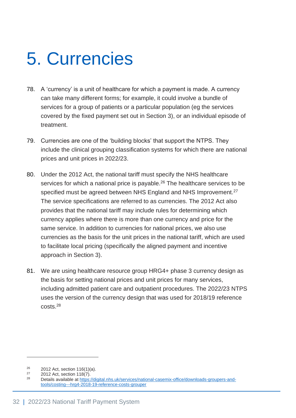# <span id="page-31-0"></span>5. Currencies

- 78. A 'currency' is a unit of healthcare for which a payment is made. A currency can take many different forms; for example, it could involve a bundle of services for a group of patients or a particular population (eg the services covered by the fixed payment set out in Section 3), or an individual episode of treatment.
- 79. Currencies are one of the 'building blocks' that support the NTPS. They include the clinical grouping classification systems for which there are national prices and unit prices in 2022/23.
- 80. Under the 2012 Act, the national tariff must specify the NHS healthcare services for which a national price is payable.<sup>26</sup> The healthcare services to be specified must be agreed between NHS England and NHS Improvement.<sup>27</sup> The service specifications are referred to as currencies. The 2012 Act also provides that the national tariff may include rules for determining which currency applies where there is more than one currency and price for the same service. In addition to currencies for national prices, we also use currencies as the basis for the unit prices in the national tariff, which are used to facilitate local pricing (specifically the aligned payment and incentive approach in Section 3).
- 81. We are using healthcare resource group HRG4+ phase 3 currency design as the basis for setting national prices and unit prices for many services, including admitted patient care and outpatient procedures. The 2022/23 NTPS uses the version of the currency design that was used for 2018/19 reference costs.<sup>28</sup>

<sup>&</sup>lt;sup>26</sup> 2012 Act, section 116(1)(a).<br><sup>27</sup> 2012 Act, section 118(7)

 $^{27}$  2012 Act, section 118(7).<br> $^{28}$  Details available at https:

Details available at [https://digital.nhs.uk/services/national-casemix-office/downloads-groupers-and](https://digital.nhs.uk/services/national-casemix-office/downloads-groupers-and-tools/costing---hrg4-2018-19-reference-costs-grouper)[tools/costing---hrg4-2018-19-reference-costs-grouper](https://digital.nhs.uk/services/national-casemix-office/downloads-groupers-and-tools/costing---hrg4-2018-19-reference-costs-grouper)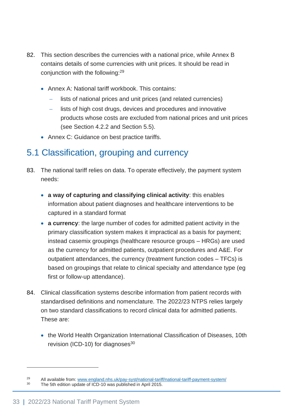- 82. This section describes the currencies with a national price, while Annex B contains details of some currencies with unit prices. It should be read in conjunction with the following:<sup>29</sup>
	- Annex A: National tariff workbook. This contains:
		- lists of national prices and unit prices (and related currencies)
		- lists of high cost drugs, devices and procedures and innovative products whose costs are excluded from national prices and unit prices (see Section 4.2.2 and Section 5.5).
	- Annex C: Guidance on best practice tariffs.

# <span id="page-32-0"></span>5.1 Classification, grouping and currency

- 83. The national tariff relies on data. To operate effectively, the payment system needs:
	- **a way of capturing and classifying clinical activity**: this enables information about patient diagnoses and healthcare interventions to be captured in a standard format
	- **a currency**: the large number of codes for admitted patient activity in the primary classification system makes it impractical as a basis for payment; instead casemix groupings (healthcare resource groups – HRGs) are used as the currency for admitted patients, outpatient procedures and A&E. For outpatient attendances, the currency (treatment function codes – TFCs) is based on groupings that relate to clinical specialty and attendance type (eg first or follow-up attendance).
- 84. Clinical classification systems describe information from patient records with standardised definitions and nomenclature. The 2022/23 NTPS relies largely on two standard classifications to record clinical data for admitted patients. These are:
	- the World Health Organization International Classification of Diseases, 10th revision (ICD-10) for diagnoses $30$

<sup>&</sup>lt;sup>29</sup> All available from[: www.england.nhs.uk/pay-syst/national-tariff/national-tariff-payment-system/](http://www.england.nhs.uk/pay-syst/national-tariff/national-tariff-payment-system/)<br><sup>30</sup> The 5<sup>th</sup> edition undete of ICD 10 was published in April 2015 The 5th edition update of ICD-10 was published in April 2015.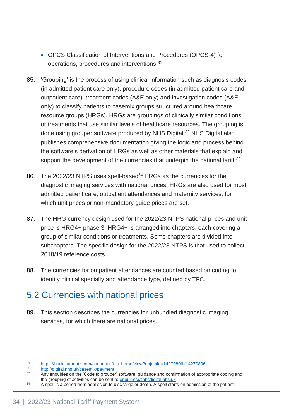- OPCS Classification of Interventions and Procedures (OPCS-4) for operations, procedures and interventions.<sup>31</sup>
- 85. 'Grouping' is the process of using clinical information such as diagnosis codes (in admitted patient care only), procedure codes (in admitted patient care and outpatient care), treatment codes (A&E only) and investigation codes (A&E only) to classify patients to casemix groups structured around healthcare resource groups (HRGs). HRGs are groupings of clinically similar conditions or treatments that use similar levels of healthcare resources. The grouping is done using grouper software produced by NHS Digital.<sup>32</sup> NHS Digital also publishes comprehensive documentation giving the logic and process behind the software's derivation of HRGs as well as other materials that explain and support the development of the currencies that underpin the national tariff.<sup>33</sup>
- 86. The 2022/23 NTPS uses spell-based<sup>34</sup> HRGs as the currencies for the diagnostic imaging services with national prices. HRGs are also used for most admitted patient care, outpatient attendances and maternity services, for which unit prices or non-mandatory guide prices are set.
- 87. The HRG currency design used for the 2022/23 NTPS national prices and unit price is HRG4+ phase 3. HRG4+ is arranged into chapters, each covering a group of similar conditions or treatments. Some chapters are divided into subchapters. The specific design for the 2022/23 NTPS is that used to collect 2018/19 reference costs.
- 88. The currencies for outpatient attendances are counted based on coding to identify clinical specialty and attendance type, defined by TFC.

## <span id="page-33-0"></span>5.2 Currencies with national prices

89. This section describes the currencies for unbundled diagnostic imaging services, for which there are national prices.

<sup>31</sup> [https://hscic.kahootz.com/connect.ti/t\\_c\\_home/view?objectId=14270896#14270896](https://hscic.kahootz.com/connect.ti/t_c_home/view?objectId=14270896#14270896)

<sup>32</sup> <http://digital.nhs.uk/casemix/payment><br>33 Apv opquiries on the 'Code to groupe

Any enquiries on the 'Code to grouper' software, guidance and confirmation of appropriate coding and the grouping of activities can be sent to [enquiries@nhsdigital.nhs.uk](mailto:enquiries@nhsdigital.nhs.uk)

<sup>&</sup>lt;sup>34</sup> A spell is a period from admission to discharge or death. A spell starts on admission of the patient.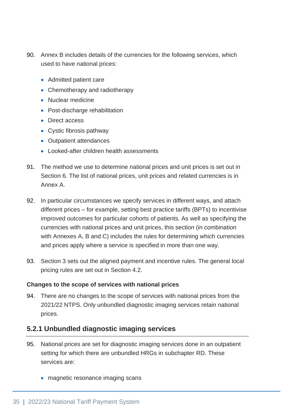- 90. Annex B includes details of the currencies for the following services, which used to have national prices:
	- Admitted patient care
	- Chemotherapy and radiotherapy
	- Nuclear medicine
	- Post-discharge rehabilitation
	- Direct access
	- Cystic fibrosis pathway
	- Outpatient attendances
	- Looked-after children health assessments
- 91. The method we use to determine national prices and unit prices is set out in Section 6. The list of national prices, unit prices and related currencies is in Annex A.
- 92. In particular circumstances we specify services in different ways, and attach different prices – for example, setting best practice tariffs (BPTs) to incentivise improved outcomes for particular cohorts of patients. As well as specifying the currencies with national prices and unit prices, this section (in combination with Annexes A, B and C) includes the rules for determining which currencies and prices apply where a service is specified in more than one way.
- 93. Section 3 sets out the aligned payment and incentive rules. The general local pricing rules are set out in Section 4.2.

#### **Changes to the scope of services with national prices**

94. There are no changes to the scope of services with national prices from the 2021/22 NTPS. Only unbundled diagnostic imaging services retain national prices.

## **5.2.1 Unbundled diagnostic imaging services**

- 95. National prices are set for diagnostic imaging services done in an outpatient setting for which there are unbundled HRGs in subchapter RD. These services are:
	- magnetic resonance imaging scans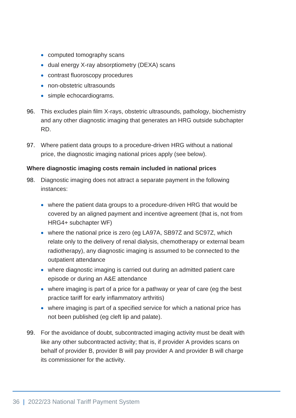- computed tomography scans
- dual energy X-ray absorptiometry (DEXA) scans
- contrast fluoroscopy procedures
- non-obstetric ultrasounds
- simple echocardiograms.
- 96. This excludes plain film X-rays, obstetric ultrasounds, pathology, biochemistry and any other diagnostic imaging that generates an HRG outside subchapter RD.
- 97. Where patient data groups to a procedure-driven HRG without a national price, the diagnostic imaging national prices apply (see below).

#### **Where diagnostic imaging costs remain included in national prices**

- 98. Diagnostic imaging does not attract a separate payment in the following instances:
	- where the patient data groups to a procedure-driven HRG that would be covered by an aligned payment and incentive agreement (that is, not from HRG4+ subchapter WF)
	- where the national price is zero (eg LA97A, SB97Z and SC97Z, which relate only to the delivery of renal dialysis, chemotherapy or external beam radiotherapy), any diagnostic imaging is assumed to be connected to the outpatient attendance
	- where diagnostic imaging is carried out during an admitted patient care episode or during an A&E attendance
	- where imaging is part of a price for a pathway or year of care (eg the best practice tariff for early inflammatory arthritis)
	- where imaging is part of a specified service for which a national price has not been published (eg cleft lip and palate).
- 99. For the avoidance of doubt, subcontracted imaging activity must be dealt with like any other subcontracted activity; that is, if provider A provides scans on behalf of provider B, provider B will pay provider A and provider B will charge its commissioner for the activity.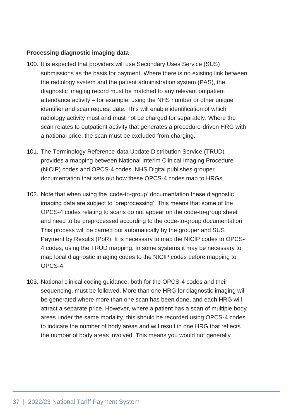#### **Processing diagnostic imaging data**

- 100. It is expected that providers will use Secondary Uses Service (SUS) submissions as the basis for payment. Where there is no existing link between the radiology system and the patient administration system (PAS), the diagnostic imaging record must be matched to any relevant outpatient attendance activity – for example, using the NHS number or other unique identifier and scan request date. This will enable identification of which radiology activity must and must not be charged for separately. Where the scan relates to outpatient activity that generates a procedure-driven HRG with a national price, the scan must be excluded from charging.
- 101. The Terminology Reference-data Update Distribution Service (TRUD) provides a mapping between National Interim Clinical Imaging Procedure (NICIP) codes and OPCS-4 codes. NHS Digital publishes grouper documentation that sets out how these OPCS-4 codes map to HRGs.
- 102. Note that when using the 'code-to-group' documentation these diagnostic imaging data are subject to 'preprocessing'. This means that some of the OPCS-4 codes relating to scans do not appear on the code-to-group sheet and need to be preprocessed according to the code-to-group documentation. This process will be carried out automatically by the grouper and SUS Payment by Results (PbR). It is necessary to map the NICIP codes to OPCS-4 codes, using the TRUD mapping. In some systems it may be necessary to map local diagnostic imaging codes to the NICIP codes before mapping to OPCS-4.
- 103. National clinical coding guidance, both for the OPCS-4 codes and their sequencing, must be followed. More than one HRG for diagnostic imaging will be generated where more than one scan has been done, and each HRG will attract a separate price. However, where a patient has a scan of multiple body areas under the same modality, this should be recorded using OPCS-4 codes to indicate the number of body areas and will result in one HRG that reflects the number of body areas involved. This means you would not generally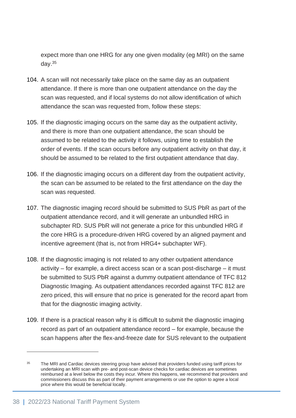expect more than one HRG for any one given modality (eg MRI) on the same day.<sup>35</sup>

- 104. A scan will not necessarily take place on the same day as an outpatient attendance. If there is more than one outpatient attendance on the day the scan was requested, and if local systems do not allow identification of which attendance the scan was requested from, follow these steps:
- 105. If the diagnostic imaging occurs on the same day as the outpatient activity, and there is more than one outpatient attendance, the scan should be assumed to be related to the activity it follows, using time to establish the order of events. If the scan occurs before any outpatient activity on that day, it should be assumed to be related to the first outpatient attendance that day.
- 106. If the diagnostic imaging occurs on a different day from the outpatient activity, the scan can be assumed to be related to the first attendance on the day the scan was requested.
- 107. The diagnostic imaging record should be submitted to SUS PbR as part of the outpatient attendance record, and it will generate an unbundled HRG in subchapter RD. SUS PbR will not generate a price for this unbundled HRG if the core HRG is a procedure-driven HRG covered by an aligned payment and incentive agreement (that is, not from HRG4+ subchapter WF).
- 108. If the diagnostic imaging is not related to any other outpatient attendance activity – for example, a direct access scan or a scan post-discharge – it must be submitted to SUS PbR against a dummy outpatient attendance of TFC 812 Diagnostic Imaging. As outpatient attendances recorded against TFC 812 are zero priced, this will ensure that no price is generated for the record apart from that for the diagnostic imaging activity.
- 109. If there is a practical reason why it is difficult to submit the diagnostic imaging record as part of an outpatient attendance record – for example, because the scan happens after the flex-and-freeze date for SUS relevant to the outpatient

<sup>&</sup>lt;sup>35</sup> The MRI and Cardiac devices steering group have advised that providers funded using tariff prices for undertaking an MRI scan with pre- and post-scan device checks for cardiac devices are sometimes reimbursed at a level below the costs they incur. Where this happens, we recommend that providers and commissioners discuss this as part of their payment arrangements or use the option to agree a local price where this would be beneficial locally.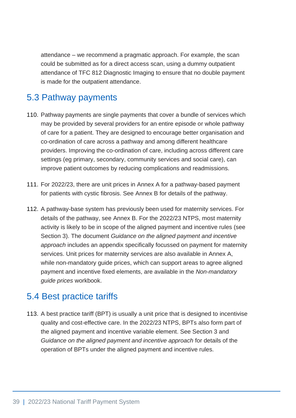attendance – we recommend a pragmatic approach. For example, the scan could be submitted as for a direct access scan, using a dummy outpatient attendance of TFC 812 Diagnostic Imaging to ensure that no double payment is made for the outpatient attendance.

## 5.3 Pathway payments

- 110. Pathway payments are single payments that cover a bundle of services which may be provided by several providers for an entire episode or whole pathway of care for a patient. They are designed to encourage better organisation and co-ordination of care across a pathway and among different healthcare providers. Improving the co-ordination of care, including across different care settings (eg primary, secondary, community services and social care), can improve patient outcomes by reducing complications and readmissions.
- 111. For 2022/23, there are unit prices in Annex A for a pathway-based payment for patients with cystic fibrosis. See Annex B for details of the pathway.
- 112. A pathway-base system has previously been used for maternity services. For details of the pathway, see Annex B. For the 2022/23 NTPS, most maternity activity is likely to be in scope of the aligned payment and incentive rules (see Section 3). The document *Guidance on the aligned payment and incentive approach* includes an appendix specifically focussed on payment for maternity services. Unit prices for maternity services are also available in Annex A, while non-mandatory guide prices, which can support areas to agree aligned payment and incentive fixed elements, are available in the *Non-mandatory guide prices* workbook.

# 5.4 Best practice tariffs

113. A best practice tariff (BPT) is usually a unit price that is designed to incentivise quality and cost-effective care. In the 2022/23 NTPS, BPTs also form part of the aligned payment and incentive variable element. See Section 3 and *Guidance on the aligned payment and incentive approach* for details of the operation of BPTs under the aligned payment and incentive rules.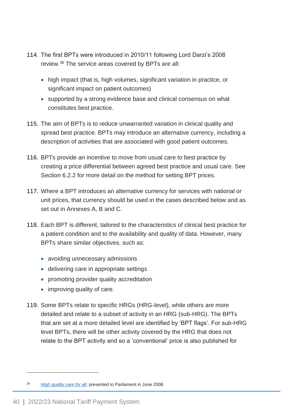- 114. The first BPTs were introduced in 2010/11 following Lord Darzi's 2008 review.<sup>36</sup> The service areas covered by BPTs are all:
	- high impact (that is, high volumes, significant variation in practice, or significant impact on patient outcomes)
	- supported by a strong evidence base and clinical consensus on what constitutes best practice.
- 115. The aim of BPTs is to reduce unwarranted variation in clinical quality and spread best practice. BPTs may introduce an alternative currency, including a description of activities that are associated with good patient outcomes.
- 116. BPTs provide an incentive to move from usual care to best practice by creating a price differential between agreed best practice and usual care. See Section 6.2.2 for more detail on the method for setting BPT prices.
- 117. Where a BPT introduces an alternative currency for services with national or unit prices, that currency should be used in the cases described below and as set out in Annexes A, B and C.
- 118. Each BPT is different, tailored to the characteristics of clinical best practice for a patient condition and to the availability and quality of data. However, many BPTs share similar objectives, such as:
	- avoiding unnecessary admissions
	- delivering care in appropriate settings
	- promoting provider quality accreditation
	- improving quality of care.
- 119. Some BPTs relate to specific HRGs (HRG-level), while others are more detailed and relate to a subset of activity in an HRG (sub-HRG). The BPTs that are set at a more detailed level are identified by 'BPT flags'. For sub-HRG level BPTs, there will be other activity covered by the HRG that does not relate to the BPT activity and so a 'conventional' price is also published for

<sup>36</sup> *[High quality care for all](https://www.gov.uk/government/publications/high-quality-care-for-all-nhs-next-stage-review-final-report)*, presented to Parliament in June 2008.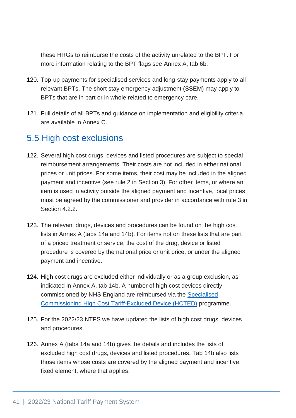these HRGs to reimburse the costs of the activity unrelated to the BPT. For more information relating to the BPT flags see Annex A, tab 6b.

- 120. Top-up payments for specialised services and long-stay payments apply to all relevant BPTs. The short stay emergency adjustment (SSEM) may apply to BPTs that are in part or in whole related to emergency care.
- 121. Full details of all BPTs and guidance on implementation and eligibility criteria are available in Annex C.

## 5.5 High cost exclusions

- 122. Several high cost drugs, devices and listed procedures are subject to special reimbursement arrangements. Their costs are not included in either national prices or unit prices. For some items, their cost may be included in the aligned payment and incentive (see rule 2 in Section 3). For other items, or where an item is used in activity outside the aligned payment and incentive, local prices must be agreed by the commissioner and provider in accordance with rule 3 in Section 4.2.2.
- 123. The relevant drugs, devices and procedures can be found on the high cost lists in Annex A (tabs 14a and 14b). For items not on these lists that are part of a priced treatment or service, the cost of the drug, device or listed procedure is covered by the national price or unit price, or under the aligned payment and incentive.
- 124. High cost drugs are excluded either individually or as a group exclusion, as indicated in Annex A, tab 14b. A number of high cost devices directly commissioned by NHS England are reimbursed via the [Specialised](https://www.england.nhs.uk/commissioning/spec-services/key-docs/medical-devices/)  [Commissioning High Cost Tariff-Excluded Device \(HCTED\)](https://www.england.nhs.uk/commissioning/spec-services/key-docs/medical-devices/) programme.
- 125. For the 2022/23 NTPS we have updated the lists of high cost drugs, devices and procedures.
- 126. Annex A (tabs 14a and 14b) gives the details and includes the lists of excluded high cost drugs, devices and listed procedures. Tab 14b also lists those items whose costs are covered by the aligned payment and incentive fixed element, where that applies.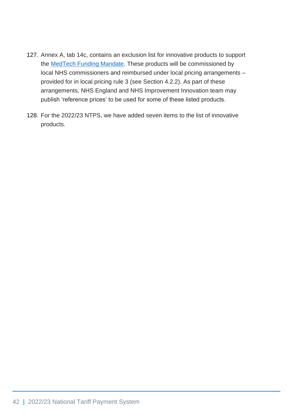- 127. Annex A, tab 14c, contains an exclusion list for innovative products to support the [MedTech Funding Mandate.](https://www.england.nhs.uk/aac/what-we-do/how-can-the-aac-help-me/the-medtech-funding-mandate/) These products will be commissioned by local NHS commissioners and reimbursed under local pricing arrangements – provided for in local pricing rule 3 (see Section 4.2.2). As part of these arrangements, NHS England and NHS Improvement Innovation team may publish 'reference prices' to be used for some of these listed products.
- 128. For the 2022/23 NTPS, we have added seven items to the list of innovative products.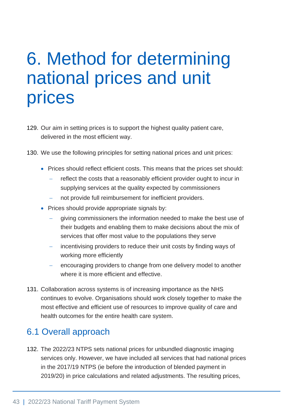# 6. Method for determining national prices and unit prices

- 129. Our aim in setting prices is to support the highest quality patient care, delivered in the most efficient way.
- 130. We use the following principles for setting national prices and unit prices:
	- Prices should reflect efficient costs. This means that the prices set should:
		- reflect the costs that a reasonably efficient provider ought to incur in supplying services at the quality expected by commissioners
		- not provide full reimbursement for inefficient providers.
	- Prices should provide appropriate signals by:
		- giving commissioners the information needed to make the best use of their budgets and enabling them to make decisions about the mix of services that offer most value to the populations they serve
		- incentivising providers to reduce their unit costs by finding ways of working more efficiently
		- encouraging providers to change from one delivery model to another where it is more efficient and effective.
- 131. Collaboration across systems is of increasing importance as the NHS continues to evolve. Organisations should work closely together to make the most effective and efficient use of resources to improve quality of care and health outcomes for the entire health care system.

# 6.1 Overall approach

132. The 2022/23 NTPS sets national prices for unbundled diagnostic imaging services only. However, we have included all services that had national prices in the 2017/19 NTPS (ie before the introduction of blended payment in 2019/20) in price calculations and related adjustments. The resulting prices,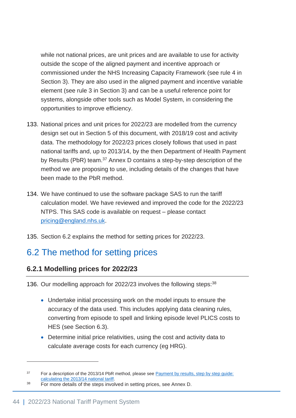while not national prices, are unit prices and are available to use for activity outside the scope of the aligned payment and incentive approach or commissioned under the NHS Increasing Capacity Framework (see rule 4 in Section 3). They are also used in the aligned payment and incentive variable element (see rule 3 in Section 3) and can be a useful reference point for systems, alongside other tools such as Model System, in considering the opportunities to improve efficiency.

- 133. National prices and unit prices for 2022/23 are modelled from the currency design set out in Section 5 of this document, with 2018/19 cost and activity data. The methodology for 2022/23 prices closely follows that used in past national tariffs and, up to 2013/14, by the then Department of Health Payment by Results (PbR) team.<sup>37</sup> Annex D contains a step-by-step description of the method we are proposing to use, including details of the changes that have been made to the PbR method.
- 134. We have continued to use the software package SAS to run the tariff calculation model. We have reviewed and improved the code for the 2022/23 NTPS. This SAS code is available on request – please contact [pricing@england.nhs.uk.](mailto:pricing@england.nhs.uk)
- 135. Section 6.2 explains the method for setting prices for 2022/23.

# 6.2 The method for setting prices

## **6.2.1 Modelling prices for 2022/23**

136. Our modelling approach for 2022/23 involves the following steps: 38

- Undertake initial processing work on the model inputs to ensure the accuracy of the data used. This includes applying data cleaning rules, converting from episode to spell and linking episode level PLICS costs to HES (see Section 6.3).
- Determine initial price relativities, using the cost and activity data to calculate average costs for each currency (eg HRG).

<sup>&</sup>lt;sup>37</sup> For a description of the 2013/14 PbR method, please see Payment by results, step by step quide: [calculating the 2013/14 national tariff.](https://www.gov.uk/government/uploads/system/uploads/attachment_data/file/214905/Step-by-step-guide-to-calculating-the-2013-14-national-tariff.pdf)

<sup>&</sup>lt;sup>38</sup> For more details of the steps involved in setting prices, see Annex D.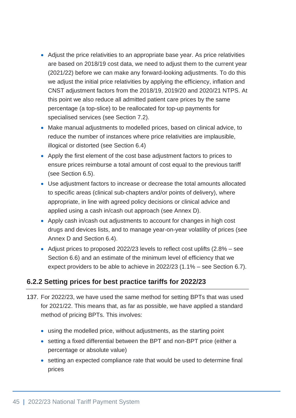- Adjust the price relativities to an appropriate base year. As price relativities are based on 2018/19 cost data, we need to adjust them to the current year (2021/22) before we can make any forward-looking adjustments. To do this we adjust the initial price relativities by applying the efficiency, inflation and CNST adjustment factors from the 2018/19, 2019/20 and 2020/21 NTPS. At this point we also reduce all admitted patient care prices by the same percentage (a top-slice) to be reallocated for top-up payments for specialised services (see Section 7.2).
- Make manual adjustments to modelled prices, based on clinical advice, to reduce the number of instances where price relativities are implausible, illogical or distorted (see Section 6.4)
- Apply the first element of the cost base adjustment factors to prices to ensure prices reimburse a total amount of cost equal to the previous tariff (see Section 6.5).
- Use adjustment factors to increase or decrease the total amounts allocated to specific areas (clinical sub-chapters and/or points of delivery), where appropriate, in line with agreed policy decisions or clinical advice and applied using a cash in/cash out approach (see Annex D).
- Apply cash in/cash out adjustments to account for changes in high cost drugs and devices lists, and to manage year-on-year volatility of prices (see Annex D and Section 6.4).
- Adjust prices to proposed 2022/23 levels to reflect cost uplifts (2.8% see Section 6.6) and an estimate of the minimum level of efficiency that we expect providers to be able to achieve in 2022/23 (1.1% – see Section 6.7).

## **6.2.2 Setting prices for best practice tariffs for 2022/23**

- 137. For 2022/23, we have used the same method for setting BPTs that was used for 2021/22. This means that, as far as possible, we have applied a standard method of pricing BPTs. This involves:
	- using the modelled price, without adjustments, as the starting point
	- setting a fixed differential between the BPT and non-BPT price (either a percentage or absolute value)
	- setting an expected compliance rate that would be used to determine final prices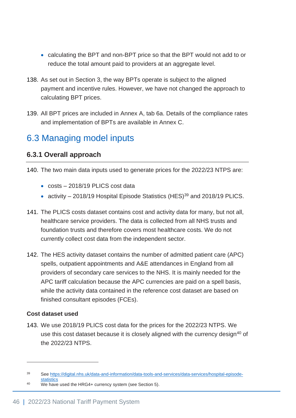- calculating the BPT and non-BPT price so that the BPT would not add to or reduce the total amount paid to providers at an aggregate level.
- 138. As set out in Section 3, the way BPTs operate is subject to the aligned payment and incentive rules. However, we have not changed the approach to calculating BPT prices.
- 139. All BPT prices are included in Annex A, tab 6a. Details of the compliance rates and implementation of BPTs are available in Annex C.

# 6.3 Managing model inputs

## **6.3.1 Overall approach**

- 140. The two main data inputs used to generate prices for the 2022/23 NTPS are:
	- costs 2018/19 PLICS cost data
	- activity  $-$  2018/19 Hospital Episode Statistics (HES)<sup>39</sup> and 2018/19 PLICS.
- 141. The PLICS costs dataset contains cost and activity data for many, but not all, healthcare service providers. The data is collected from all NHS trusts and foundation trusts and therefore covers most healthcare costs. We do not currently collect cost data from the independent sector.
- 142. The HES activity dataset contains the number of admitted patient care (APC) spells, outpatient appointments and A&E attendances in England from all providers of secondary care services to the NHS. It is mainly needed for the APC tariff calculation because the APC currencies are paid on a spell basis, while the activity data contained in the reference cost dataset are based on finished consultant episodes (FCEs).

#### **Cost dataset used**

143. We use 2018/19 PLICS cost data for the prices for the 2022/23 NTPS. We use this cost dataset because it is closely aligned with the currency design<sup>40</sup> of the 2022/23 NTPS.

<sup>39</sup> Se[e https://digital.nhs.uk/data-and-information/data-tools-and-services/data-services/hospital-episode](https://digital.nhs.uk/data-and-information/data-tools-and-services/data-services/hospital-episode-statistics)**[statistics](https://digital.nhs.uk/data-and-information/data-tools-and-services/data-services/hospital-episode-statistics)** 

<sup>40</sup> We have used the HRG4+ currency system (see Section 5).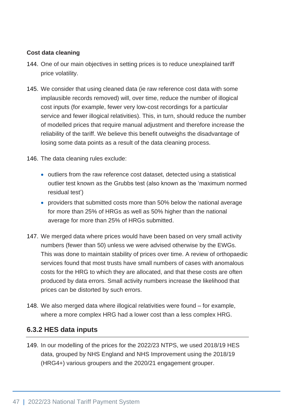#### **Cost data cleaning**

- 144. One of our main objectives in setting prices is to reduce unexplained tariff price volatility.
- 145. We consider that using cleaned data (ie raw reference cost data with some implausible records removed) will, over time, reduce the number of illogical cost inputs (for example, fewer very low-cost recordings for a particular service and fewer illogical relativities). This, in turn, should reduce the number of modelled prices that require manual adjustment and therefore increase the reliability of the tariff. We believe this benefit outweighs the disadvantage of losing some data points as a result of the data cleaning process.
- 146. The data cleaning rules exclude:
	- outliers from the raw reference cost dataset, detected using a statistical outlier test known as the Grubbs test (also known as the 'maximum normed residual test')
	- providers that submitted costs more than 50% below the national average for more than 25% of HRGs as well as 50% higher than the national average for more than 25% of HRGs submitted.
- 147. We merged data where prices would have been based on very small activity numbers (fewer than 50) unless we were advised otherwise by the EWGs. This was done to maintain stability of prices over time. A review of orthopaedic services found that most trusts have small numbers of cases with anomalous costs for the HRG to which they are allocated, and that these costs are often produced by data errors. Small activity numbers increase the likelihood that prices can be distorted by such errors.
- 148. We also merged data where illogical relativities were found for example, where a more complex HRG had a lower cost than a less complex HRG.

#### **6.3.2 HES data inputs**

149. In our modelling of the prices for the 2022/23 NTPS, we used 2018/19 HES data, grouped by NHS England and NHS Improvement using the 2018/19 (HRG4+) various groupers and the 2020/21 engagement grouper.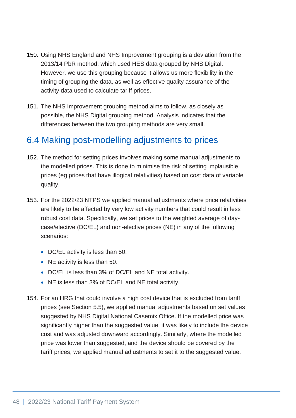- 150. Using NHS England and NHS Improvement grouping is a deviation from the 2013/14 PbR method, which used HES data grouped by NHS Digital. However, we use this grouping because it allows us more flexibility in the timing of grouping the data, as well as effective quality assurance of the activity data used to calculate tariff prices.
- 151. The NHS Improvement grouping method aims to follow, as closely as possible, the NHS Digital grouping method. Analysis indicates that the differences between the two grouping methods are very small.

# 6.4 Making post-modelling adjustments to prices

- 152. The method for setting prices involves making some manual adjustments to the modelled prices. This is done to minimise the risk of setting implausible prices (eg prices that have illogical relativities) based on cost data of variable quality.
- 153. For the 2022/23 NTPS we applied manual adjustments where price relativities are likely to be affected by very low activity numbers that could result in less robust cost data. Specifically, we set prices to the weighted average of daycase/elective (DC/EL) and non-elective prices (NE) in any of the following scenarios:
	- DC/EL activity is less than 50.
	- NE activity is less than 50.
	- DC/EL is less than 3% of DC/EL and NE total activity.
	- NE is less than 3% of DC/EL and NE total activity.
- 154. For an HRG that could involve a high cost device that is excluded from tariff prices (see Section 5.5), we applied manual adjustments based on set values suggested by NHS Digital National Casemix Office. If the modelled price was significantly higher than the suggested value, it was likely to include the device cost and was adjusted downward accordingly. Similarly, where the modelled price was lower than suggested, and the device should be covered by the tariff prices, we applied manual adjustments to set it to the suggested value.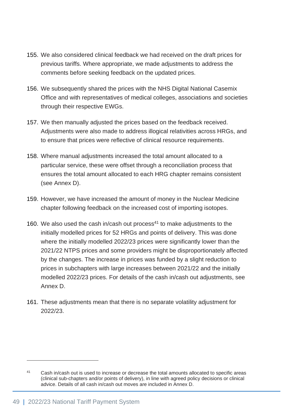- 155. We also considered clinical feedback we had received on the draft prices for previous tariffs. Where appropriate, we made adjustments to address the comments before seeking feedback on the updated prices.
- 156. We subsequently shared the prices with the NHS Digital National Casemix Office and with representatives of medical colleges, associations and societies through their respective EWGs.
- 157. We then manually adjusted the prices based on the feedback received. Adjustments were also made to address illogical relativities across HRGs, and to ensure that prices were reflective of clinical resource requirements.
- 158. Where manual adjustments increased the total amount allocated to a particular service, these were offset through a reconciliation process that ensures the total amount allocated to each HRG chapter remains consistent (see Annex D).
- 159. However, we have increased the amount of money in the Nuclear Medicine chapter following feedback on the increased cost of importing isotopes.
- 160. We also used the cash in/cash out process<sup>41</sup> to make adjustments to the initially modelled prices for 52 HRGs and points of delivery. This was done where the initially modelled 2022/23 prices were significantly lower than the 2021/22 NTPS prices and some providers might be disproportionately affected by the changes. The increase in prices was funded by a slight reduction to prices in subchapters with large increases between 2021/22 and the initially modelled 2022/23 prices. For details of the cash in/cash out adjustments, see Annex D.
- 161. These adjustments mean that there is no separate volatility adjustment for 2022/23.

<sup>&</sup>lt;sup>41</sup> Cash in/cash out is used to increase or decrease the total amounts allocated to specific areas (clinical sub-chapters and/or points of delivery), in line with agreed policy decisions or clinical advice. Details of all cash in/cash out moves are included in Annex D.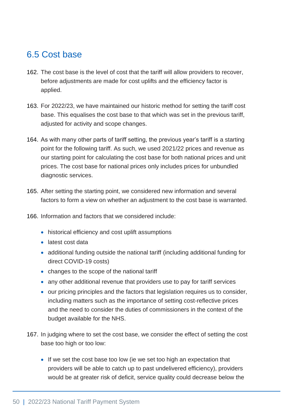# 6.5 Cost base

- 162. The cost base is the level of cost that the tariff will allow providers to recover, before adjustments are made for cost uplifts and the efficiency factor is applied.
- 163. For 2022/23, we have maintained our historic method for setting the tariff cost base. This equalises the cost base to that which was set in the previous tariff, adjusted for activity and scope changes.
- 164. As with many other parts of tariff setting, the previous year's tariff is a starting point for the following tariff. As such, we used 2021/22 prices and revenue as our starting point for calculating the cost base for both national prices and unit prices. The cost base for national prices only includes prices for unbundled diagnostic services.
- 165. After setting the starting point, we considered new information and several factors to form a view on whether an adjustment to the cost base is warranted.
- 166. Information and factors that we considered include:
	- historical efficiency and cost uplift assumptions
	- latest cost data
	- additional funding outside the national tariff (including additional funding for direct COVID-19 costs)
	- changes to the scope of the national tariff
	- any other additional revenue that providers use to pay for tariff services
	- our pricing principles and the factors that legislation requires us to consider, including matters such as the importance of setting cost-reflective prices and the need to consider the duties of commissioners in the context of the budget available for the NHS.
- 167. In judging where to set the cost base, we consider the effect of setting the cost base too high or too low:
	- If we set the cost base too low (ie we set too high an expectation that providers will be able to catch up to past undelivered efficiency), providers would be at greater risk of deficit, service quality could decrease below the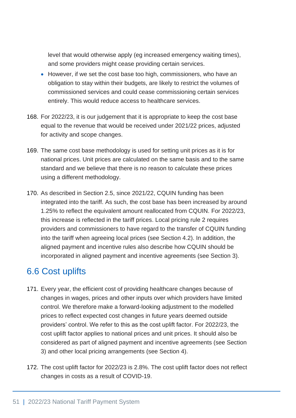level that would otherwise apply (eg increased emergency waiting times), and some providers might cease providing certain services.

- However, if we set the cost base too high, commissioners, who have an obligation to stay within their budgets, are likely to restrict the volumes of commissioned services and could cease commissioning certain services entirely. This would reduce access to healthcare services.
- 168. For 2022/23, it is our judgement that it is appropriate to keep the cost base equal to the revenue that would be received under 2021/22 prices, adjusted for activity and scope changes.
- 169. The same cost base methodology is used for setting unit prices as it is for national prices. Unit prices are calculated on the same basis and to the same standard and we believe that there is no reason to calculate these prices using a different methodology.
- 170. As described in Section 2.5, since 2021/22, CQUIN funding has been integrated into the tariff. As such, the cost base has been increased by around 1.25% to reflect the equivalent amount reallocated from CQUIN. For 2022/23, this increase is reflected in the tariff prices. Local pricing rule 2 requires providers and commissioners to have regard to the transfer of CQUIN funding into the tariff when agreeing local prices (see Section 4.2). In addition, the aligned payment and incentive rules also describe how CQUIN should be incorporated in aligned payment and incentive agreements (see Section 3).

# 6.6 Cost uplifts

- 171. Every year, the efficient cost of providing healthcare changes because of changes in wages, prices and other inputs over which providers have limited control. We therefore make a forward-looking adjustment to the modelled prices to reflect expected cost changes in future years deemed outside providers' control. We refer to this as the cost uplift factor. For 2022/23, the cost uplift factor applies to national prices and unit prices. It should also be considered as part of aligned payment and incentive agreements (see Section 3) and other local pricing arrangements (see Section 4).
- 172. The cost uplift factor for 2022/23 is 2.8%. The cost uplift factor does not reflect changes in costs as a result of COVID-19.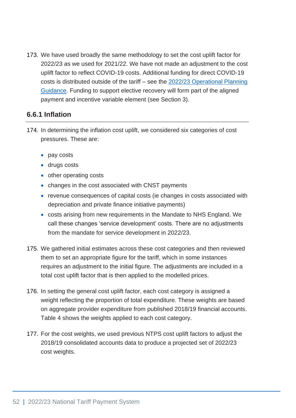173. We have used broadly the same methodology to set the cost uplift factor for 2022/23 as we used for 2021/22. We have not made an adjustment to the cost uplift factor to reflect COVID-19 costs. Additional funding for direct COVID-19 costs is distributed outside of the tariff – see the [2022/23 Operational Planning](https://www.england.nhs.uk/operational-planning-and-contracting/)  [Guidance.](https://www.england.nhs.uk/operational-planning-and-contracting/) Funding to support elective recovery will form part of the aligned payment and incentive variable element (see Section 3).

## **6.6.1 Inflation**

- 174. In determining the inflation cost uplift, we considered six categories of cost pressures. These are:
	- pay costs
	- drugs costs
	- other operating costs
	- changes in the cost associated with CNST payments
	- revenue consequences of capital costs (ie changes in costs associated with depreciation and private finance initiative payments)
	- costs arising from new requirements in the Mandate to NHS England. We call these changes 'service development' costs. There are no adjustments from the mandate for service development in 2022/23.
- 175. We gathered initial estimates across these cost categories and then reviewed them to set an appropriate figure for the tariff, which in some instances requires an adjustment to the initial figure. The adjustments are included in a total cost uplift factor that is then applied to the modelled prices.
- 176. In setting the general cost uplift factor, each cost category is assigned a weight reflecting the proportion of total expenditure. These weights are based on aggregate provider expenditure from published 2018/19 financial accounts. Table 4 shows the weights applied to each cost category.
- 177. For the cost weights, we used previous NTPS cost uplift factors to adjust the 2018/19 consolidated accounts data to produce a projected set of 2022/23 cost weights.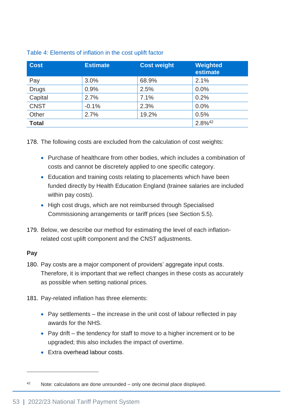| <b>Cost</b>  | <b>Estimate</b> | <b>Cost weight</b> | Weighted<br>estimate  |
|--------------|-----------------|--------------------|-----------------------|
| Pay          | 3.0%            | 68.9%              | 2.1%                  |
| <b>Drugs</b> | 0.9%            | 2.5%               | 0.0%                  |
| Capital      | 2.7%            | 7.1%               | 0.2%                  |
| <b>CNST</b>  | $-0.1%$         | 2.3%               | 0.0%                  |
| Other        | 2.7%            | 19.2%              | 0.5%                  |
| <b>Total</b> |                 |                    | $2.8\%$ <sup>42</sup> |

#### Table 4: Elements of inflation in the cost uplift factor

178. The following costs are excluded from the calculation of cost weights:

- Purchase of healthcare from other bodies, which includes a combination of costs and cannot be discretely applied to one specific category.
- Education and training costs relating to placements which have been funded directly by Health Education England (trainee salaries are included within pay costs).
- High cost drugs, which are not reimbursed through Specialised Commissioning arrangements or tariff prices (see Section 5.5).
- 179. Below, we describe our method for estimating the level of each inflationrelated cost uplift component and the CNST adjustments.

#### **Pay**

180. Pay costs are a major component of providers' aggregate input costs. Therefore, it is important that we reflect changes in these costs as accurately as possible when setting national prices.

181. Pay-related inflation has three elements:

- Pay settlements the increase in the unit cost of labour reflected in pay awards for the NHS.
- Pay drift the tendency for staff to move to a higher increment or to be upgraded; this also includes the impact of overtime.
- Extra overhead labour costs.

<sup>42</sup> Note: calculations are done unrounded – only one decimal place displayed.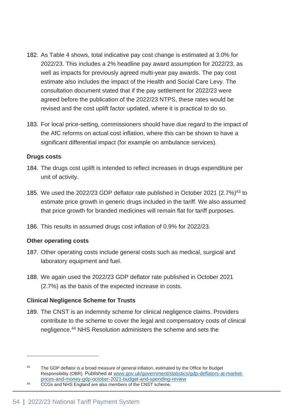- 182. As Table 4 shows, total indicative pay cost change is estimated at 3.0% for 2022/23. This includes a 2% headline pay award assumption for 2022/23, as well as impacts for previously agreed multi-year pay awards. The pay cost estimate also includes the impact of the Health and Social Care Levy. The consultation document stated that if the pay settlement for 2022/23 were agreed before the publication of the 2022/23 NTPS, these rates would be revised and the cost uplift factor updated, where it is practical to do so.
- 183. For local price-setting, commissioners should have due regard to the impact of the AfC reforms on actual cost inflation, where this can be shown to have a significant differential impact (for example on ambulance services).

#### **Drugs costs**

- 184. The drugs cost uplift is intended to reflect increases in drugs expenditure per unit of activity.
- 185. We used the 2022/23 GDP deflator rate published in October 2021 (2.7%)<sup>43</sup> to estimate price growth in generic drugs included in the tariff. We also assumed that price growth for branded medicines will remain flat for tariff purposes.
- 186. This results in assumed drugs cost inflation of 0.9% for 2022/23.

#### **Other operating costs**

- 187. Other operating costs include general costs such as medical, surgical and laboratory equipment and fuel.
- 188. We again used the 2022/23 GDP deflator rate published in October 2021 (2.7%) as the basis of the expected increase in costs.

#### **Clinical Negligence Scheme for Trusts**

189. The CNST is an indemnity scheme for clinical negligence claims. Providers contribute to the scheme to cover the legal and compensatory costs of clinical negligence.<sup>44</sup> NHS Resolution administers the scheme and sets the

<sup>&</sup>lt;sup>43</sup> The GDP deflator is a broad measure of general inflation, estimated by the Office for Budget Responsibility (OBR). Published at [www.gov.uk/government/statistics/gdp-deflators-at-market](https://www.gov.uk/government/statistics/gdp-deflators-at-market-prices-and-money-gdp-october-2021-budget-and-spending-review)[prices-and-money-gdp-october-2021-budget-and-spending-review](https://www.gov.uk/government/statistics/gdp-deflators-at-market-prices-and-money-gdp-october-2021-budget-and-spending-review)

<sup>&</sup>lt;sup>44</sup> CCGs and NHS England are also members of the CNST scheme.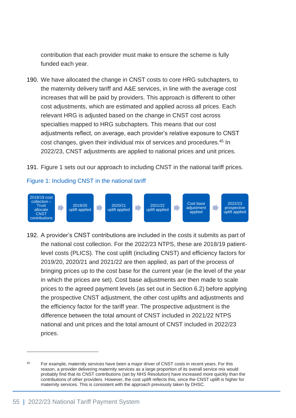contribution that each provider must make to ensure the scheme is fully funded each year.

- 190. We have allocated the change in CNST costs to core HRG subchapters, to the maternity delivery tariff and A&E services, in line with the average cost increases that will be paid by providers. This approach is different to other cost adjustments, which are estimated and applied across all prices. Each relevant HRG is adjusted based on the change in CNST cost across specialties mapped to HRG subchapters. This means that our cost adjustments reflect, on average, each provider's relative exposure to CNST cost changes, given their individual mix of services and procedures.<sup>45</sup> In 2022/23, CNST adjustments are applied to national prices and unit prices.
- 191. Figure 1 sets out our approach to including CNST in the national tariff prices.

#### Figure 1: Including CNST in the national tariff



192. A provider's CNST contributions are included in the costs it submits as part of the national cost collection. For the 2022/23 NTPS, these are 2018/19 patientlevel costs (PLICS). The cost uplift (including CNST) and efficiency factors for 2019/20, 2020/21 and 2021/22 are then applied, as part of the process of bringing prices up to the cost base for the current year (ie the level of the year in which the prices are set). Cost base adjustments are then made to scale prices to the agreed payment levels (as set out in Section 6.2) before applying the prospective CNST adjustment, the other cost uplifts and adjustments and the efficiency factor for the tariff year. The prospective adjustment is the difference between the total amount of CNST included in 2021/22 NTPS national and unit prices and the total amount of CNST included in 2022/23 prices.

<sup>45</sup> For example, maternity services have been a major driver of CNST costs in recent years. For this reason, a provider delivering maternity services as a large proportion of its overall service mix would probably find that its CNST contributions (set by NHS Resolution) have increased more quickly than the contributions of other providers. However, the cost uplift reflects this, since the CNST uplift is higher for maternity services. This is consistent with the approach previously taken by DHSC.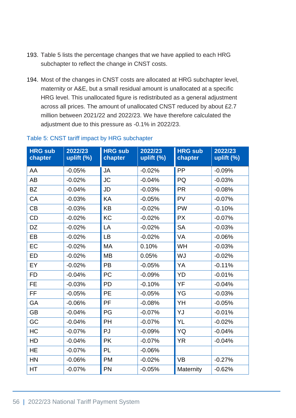- 193. Table 5 lists the percentage changes that we have applied to each HRG subchapter to reflect the change in CNST costs.
- 194. Most of the changes in CNST costs are allocated at HRG subchapter level, maternity or A&E, but a small residual amount is unallocated at a specific HRG level. This unallocated figure is redistributed as a general adjustment across all prices. The amount of unallocated CNST reduced by about £2.7 million between 2021/22 and 2022/23. We have therefore calculated the adjustment due to this pressure as -0.1% in 2022/23.

| <b>HRG sub</b><br>chapter | 2022/23<br>uplift (%) | <b>HRG sub</b><br>chapter | 2022/23<br>uplift (%) | <b>HRG sub</b><br>chapter | 2022/23<br>uplift (%) |
|---------------------------|-----------------------|---------------------------|-----------------------|---------------------------|-----------------------|
| AA                        | $-0.05%$              | JA                        | $-0.02%$              | PP                        | $-0.09%$              |
| AB                        | $-0.02%$              | <b>JC</b>                 | $-0.04%$              | PQ                        | $-0.03%$              |
| <b>BZ</b>                 | $-0.04%$              | JD                        | $-0.03%$              | <b>PR</b>                 | $-0.08%$              |
| CA                        | $-0.03%$              | KA                        | $-0.05%$              | <b>PV</b>                 | $-0.07%$              |
| <b>CB</b>                 | $-0.03%$              | <b>KB</b>                 | $-0.02%$              | <b>PW</b>                 | $-0.10%$              |
| CD                        | $-0.02%$              | KC                        | $-0.02%$              | <b>PX</b>                 | $-0.07%$              |
| <b>DZ</b>                 | $-0.02%$              | LA                        | $-0.02%$              | <b>SA</b>                 | $-0.03%$              |
| EB                        | $-0.02%$              | <b>LB</b>                 | $-0.02%$              | VA                        | $-0.06%$              |
| EC                        | $-0.02%$              | <b>MA</b>                 | 0.10%                 | <b>WH</b>                 | $-0.03%$              |
| <b>ED</b>                 | $-0.02%$              | <b>MB</b>                 | 0.05%                 | WJ                        | $-0.02%$              |
| EY                        | $-0.02%$              | <b>PB</b>                 | $-0.05%$              | YA                        | $-0.11%$              |
| <b>FD</b>                 | $-0.04%$              | <b>PC</b>                 | $-0.09%$              | YD                        | $-0.01%$              |
| FE.                       | $-0.03%$              | <b>PD</b>                 | $-0.10%$              | YF                        | $-0.04%$              |
| <b>FF</b>                 | $-0.05%$              | <b>PE</b>                 | $-0.05%$              | YG                        | $-0.03%$              |
| GA                        | $-0.06%$              | PF                        | $-0.08%$              | YH                        | $-0.05%$              |
| <b>GB</b>                 | $-0.04%$              | PG                        | $-0.07%$              | YJ                        | $-0.01%$              |
| GC                        | $-0.04%$              | PH                        | $-0.07%$              | YL                        | $-0.02%$              |
| <b>HC</b>                 | $-0.07%$              | PJ                        | $-0.09%$              | YQ                        | $-0.04%$              |
| HD                        | $-0.04%$              | <b>PK</b>                 | $-0.07%$              | <b>YR</b>                 | $-0.04%$              |
| <b>HE</b>                 | $-0.07%$              | PL                        | $-0.06%$              |                           |                       |
| <b>HN</b>                 | $-0.06%$              | <b>PM</b>                 | $-0.02%$              | <b>VB</b>                 | $-0.27%$              |
| HT                        | $-0.07%$              | PN                        | $-0.05%$              | Maternity                 | $-0.62%$              |

#### Table 5: CNST tariff impact by HRG subchapter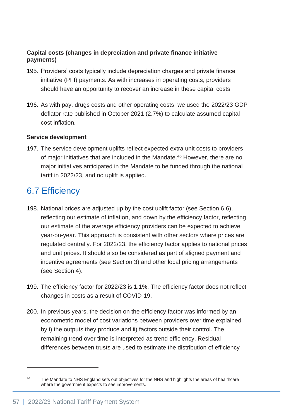#### **Capital costs (changes in depreciation and private finance initiative payments)**

- 195. Providers' costs typically include depreciation charges and private finance initiative (PFI) payments. As with increases in operating costs, providers should have an opportunity to recover an increase in these capital costs.
- 196. As with pay, drugs costs and other operating costs, we used the 2022/23 GDP deflator rate published in October 2021 (2.7%) to calculate assumed capital cost inflation.

#### **Service development**

197. The service development uplifts reflect expected extra unit costs to providers of major initiatives that are included in the Mandate.<sup>46</sup> However, there are no major initiatives anticipated in the Mandate to be funded through the national tariff in 2022/23, and no uplift is applied.

## 6.7 Efficiency

- 198. National prices are adjusted up by the cost uplift factor (see Section 6.6), reflecting our estimate of inflation, and down by the efficiency factor, reflecting our estimate of the average efficiency providers can be expected to achieve year-on-year. This approach is consistent with other sectors where prices are regulated centrally. For 2022/23, the efficiency factor applies to national prices and unit prices. It should also be considered as part of aligned payment and incentive agreements (see Section 3) and other local pricing arrangements (see Section 4).
- 199. The efficiency factor for 2022/23 is 1.1%. The efficiency factor does not reflect changes in costs as a result of COVID-19.
- 200. In previous years, the decision on the efficiency factor was informed by an econometric model of cost variations between providers over time explained by i) the outputs they produce and ii) factors outside their control. The remaining trend over time is interpreted as trend efficiency. Residual differences between trusts are used to estimate the distribution of efficiency

<sup>&</sup>lt;sup>46</sup> The Mandate to NHS England sets out objectives for the NHS and highlights the areas of healthcare where the government expects to see improvements.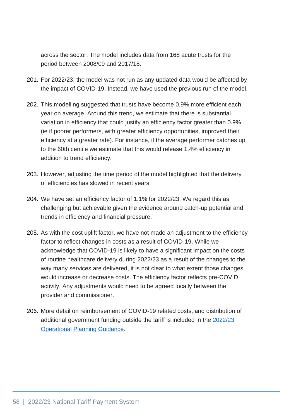across the sector. The model includes data from 168 acute trusts for the period between 2008/09 and 2017/18.

- 201. For 2022/23, the model was not run as any updated data would be affected by the impact of COVID-19. Instead, we have used the previous run of the model.
- 202. This modelling suggested that trusts have become 0.9% more efficient each year on average. Around this trend, we estimate that there is substantial variation in efficiency that could justify an efficiency factor greater than 0.9% (ie if poorer performers, with greater efficiency opportunities, improved their efficiency at a greater rate). For instance, if the average performer catches up to the 60th centile we estimate that this would release 1.4% efficiency in addition to trend efficiency.
- 203. However, adjusting the time period of the model highlighted that the delivery of efficiencies has slowed in recent years.
- 204. We have set an efficiency factor of 1.1% for 2022/23. We regard this as challenging but achievable given the evidence around catch-up potential and trends in efficiency and financial pressure.
- 205. As with the cost uplift factor, we have not made an adjustment to the efficiency factor to reflect changes in costs as a result of COVID-19. While we acknowledge that COVID-19 is likely to have a significant impact on the costs of routine healthcare delivery during 2022/23 as a result of the changes to the way many services are delivered, it is not clear to what extent those changes would increase or decrease costs. The efficiency factor reflects pre-COVID activity. Any adjustments would need to be agreed locally between the provider and commissioner.
- 206. More detail on reimbursement of COVID-19 related costs, and distribution of additional government funding outside the tariff is included in the [2022/23](https://www.england.nhs.uk/operational-planning-and-contracting/)  [Operational Planning Guidance.](https://www.england.nhs.uk/operational-planning-and-contracting/)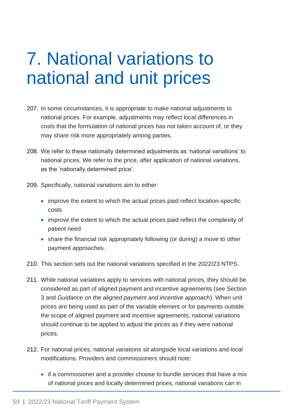# 7. National variations to national and unit prices

- 207. In some circumstances, it is appropriate to make national adjustments to national prices. For example, adjustments may reflect local differences in costs that the formulation of national prices has not taken account of, or they may share risk more appropriately among parties.
- 208. We refer to these nationally determined adjustments as 'national variations' to national prices. We refer to the price, after application of national variations, as the 'nationally determined price'.
- 209. Specifically, national variations aim to either:
	- improve the extent to which the actual prices paid reflect location-specific costs
	- improve the extent to which the actual prices paid reflect the complexity of patient need
	- share the financial risk appropriately following (or during) a move to other payment approaches.
- 210. This section sets out the national variations specified in the 2022/23 NTPS.
- 211. While national variations apply to services with national prices, they should be considered as part of aligned payment and incentive agreements (see Section 3 and *Guidance on the aligned payment and incentive approach*). When unit prices are being used as part of the variable element or for payments outside the scope of aligned payment and incentive agreements, national variations should continue to be applied to adjust the prices as if they were national prices.
- 212. For national prices, national variations sit alongside local variations and local modifications. Providers and commissioners should note:
	- if a commissioner and a provider choose to bundle services that have a mix of national prices and locally determined prices, national variations can in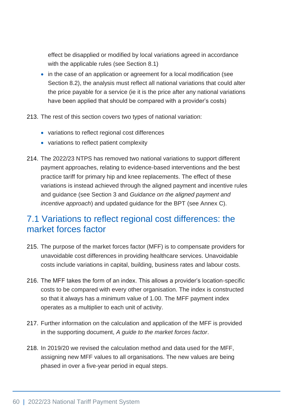effect be disapplied or modified by local variations agreed in accordance with the applicable rules (see Section 8.1)

- in the case of an application or agreement for a local modification (see Section 8.2), the analysis must reflect all national variations that could alter the price payable for a service (ie it is the price after any national variations have been applied that should be compared with a provider's costs)
- 213. The rest of this section covers two types of national variation:
	- variations to reflect regional cost differences
	- variations to reflect patient complexity
- 214. The 2022/23 NTPS has removed two national variations to support different payment approaches, relating to evidence-based interventions and the best practice tariff for primary hip and knee replacements. The effect of these variations is instead achieved through the aligned payment and incentive rules and guidance (see Section 3 and *Guidance on the aligned payment and incentive approach*) and updated guidance for the BPT (see Annex C).

## 7.1 Variations to reflect regional cost differences: the market forces factor

- 215. The purpose of the market forces factor (MFF) is to compensate providers for unavoidable cost differences in providing healthcare services. Unavoidable costs include variations in capital, building, business rates and labour costs.
- 216. The MFF takes the form of an index. This allows a provider's location-specific costs to be compared with every other organisation. The index is constructed so that it always has a minimum value of 1.00. The MFF payment index operates as a multiplier to each unit of activity.
- 217. Further information on the calculation and application of the MFF is provided in the supporting document, *A guide to the market forces factor*.
- 218. In 2019/20 we revised the calculation method and data used for the MFF, assigning new MFF values to all organisations. The new values are being phased in over a five-year period in equal steps.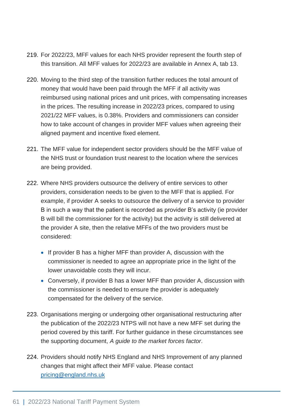- 219. For 2022/23, MFF values for each NHS provider represent the fourth step of this transition. All MFF values for 2022/23 are available in Annex A, tab 13.
- 220. Moving to the third step of the transition further reduces the total amount of money that would have been paid through the MFF if all activity was reimbursed using national prices and unit prices, with compensating increases in the prices. The resulting increase in 2022/23 prices, compared to using 2021/22 MFF values, is 0.38%. Providers and commissioners can consider how to take account of changes in provider MFF values when agreeing their aligned payment and incentive fixed element.
- 221. The MFF value for independent sector providers should be the MFF value of the NHS trust or foundation trust nearest to the location where the services are being provided.
- 222. Where NHS providers outsource the delivery of entire services to other providers, consideration needs to be given to the MFF that is applied. For example, if provider A seeks to outsource the delivery of a service to provider B in such a way that the patient is recorded as provider B's activity (ie provider B will bill the commissioner for the activity) but the activity is still delivered at the provider A site, then the relative MFFs of the two providers must be considered:
	- If provider B has a higher MFF than provider A, discussion with the commissioner is needed to agree an appropriate price in the light of the lower unavoidable costs they will incur.
	- Conversely, if provider B has a lower MFF than provider A, discussion with the commissioner is needed to ensure the provider is adequately compensated for the delivery of the service.
- 223. Organisations merging or undergoing other organisational restructuring after the publication of the 2022/23 NTPS will not have a new MFF set during the period covered by this tariff. For further guidance in these circumstances see the supporting document, *A guide to the market forces factor*.
- 224. Providers should notify NHS England and NHS Improvement of any planned changes that might affect their MFF value. Please contact [pricing@england.nhs.uk](mailto:pricing@england.nhs.uk)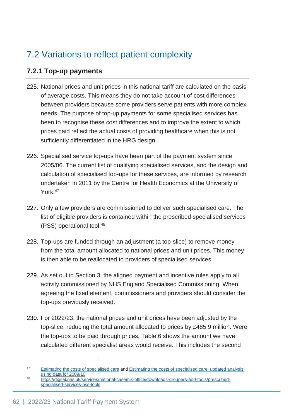# 7.2 Variations to reflect patient complexity

## **7.2.1 Top-up payments**

- 225. National prices and unit prices in this national tariff are calculated on the basis of average costs. This means they do not take account of cost differences between providers because some providers serve patients with more complex needs. The purpose of top-up payments for some specialised services has been to recognise these cost differences and to improve the extent to which prices paid reflect the actual costs of providing healthcare when this is not sufficiently differentiated in the HRG design.
- 226. Specialised service top-ups have been part of the payment system since 2005/06. The current list of qualifying specialised services, and the design and calculation of specialised top-ups for these services, are informed by research undertaken in 2011 by the Centre for Health Economics at the University of York.<sup>47</sup>
- 227. Only a few providers are commissioned to deliver such specialised care. The list of eligible providers is contained within the prescribed specialised services (PSS) operational tool.<sup>48</sup>
- 228. Top-ups are funded through an adjustment (a top-slice) to remove money from the total amount allocated to national prices and unit prices. This money is then able to be reallocated to providers of specialised services.
- 229. As set out in Section 3, the aligned payment and incentive rules apply to all activity commissioned by NHS England Specialised Commissioning. When agreeing the fixed element, commissioners and providers should consider the top-ups previously received.
- 230. For 2022/23, the national prices and unit prices have been adjusted by the top-slice, reducing the total amount allocated to prices by £485.9 million. Were the top-ups to be paid through prices, Table 6 shows the amount we have calculated different specialist areas would receive. This includes the second

<sup>&</sup>lt;sup>47</sup> [Estimating the costs of specialised care](https://www.york.ac.uk/che/news/archive-2014/che-research-paper-61/) and Estimating the costs of specialised care: updated analysis [using data for 2009/10.](http://www.york.ac.uk/news-and-events/news/2011/research/specialised-care/)

<sup>48</sup> [https://digital.nhs.uk/services/national-casemix-office/downloads-groupers-and-tools/prescribed](https://digital.nhs.uk/services/national-casemix-office/downloads-groupers-and-tools/prescribed-specialised-services-pss-tools)[specialised-services-pss-tools](https://digital.nhs.uk/services/national-casemix-office/downloads-groupers-and-tools/prescribed-specialised-services-pss-tools)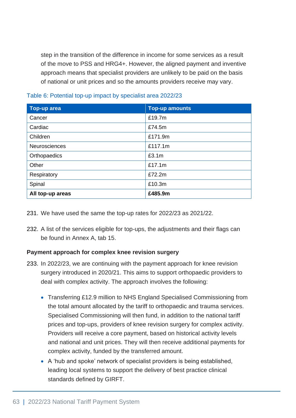step in the transition of the difference in income for some services as a result of the move to PSS and HRG4+. However, the aligned payment and inventive approach means that specialist providers are unlikely to be paid on the basis of national or unit prices and so the amounts providers receive may vary.

| <b>Top-up area</b> | <b>Top-up amounts</b> |  |
|--------------------|-----------------------|--|
| Cancer             | £19.7m                |  |
| Cardiac            | £74.5m                |  |
| Children           | £171.9m               |  |
| Neurosciences      | £117.1m               |  |
| Orthopaedics       | £3.1m                 |  |
| Other              | £17.1m                |  |
| Respiratory        | £72.2m                |  |
| Spinal             | £10.3m                |  |
| All top-up areas   | £485.9m               |  |

Table 6: Potential top-up impact by specialist area 2022/23

- 231. We have used the same the top-up rates for 2022/23 as 2021/22.
- 232. A list of the services eligible for top-ups, the adjustments and their flags can be found in Annex A, tab 15.

#### **Payment approach for complex knee revision surgery**

- 233. In 2022/23, we are continuing with the payment approach for knee revision surgery introduced in 2020/21. This aims to support orthopaedic providers to deal with complex activity. The approach involves the following:
	- Transferring £12.9 million to NHS England Specialised Commissioning from the total amount allocated by the tariff to orthopaedic and trauma services. Specialised Commissioning will then fund, in addition to the national tariff prices and top-ups, providers of knee revision surgery for complex activity. Providers will receive a core payment, based on historical activity levels and national and unit prices. They will then receive additional payments for complex activity, funded by the transferred amount.
	- A 'hub and spoke' network of specialist providers is being established, leading local systems to support the delivery of best practice clinical standards defined by GIRFT.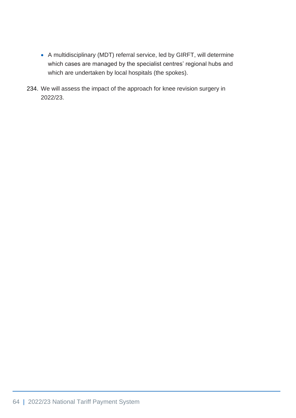- A multidisciplinary (MDT) referral service, led by GIRFT, will determine which cases are managed by the specialist centres' regional hubs and which are undertaken by local hospitals (the spokes).
- 234. We will assess the impact of the approach for knee revision surgery in 2022/23.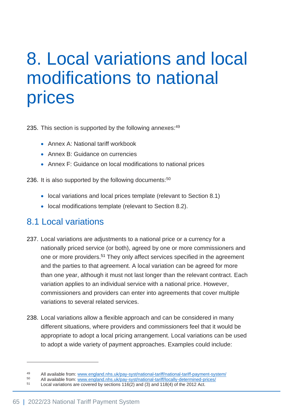# 8. Local variations and local modifications to national prices

235. This section is supported by the following annexes: 49

- Annex A: National tariff workbook
- Annex B: Guidance on currencies
- Annex F: Guidance on local modifications to national prices

236. It is also supported by the following documents:<sup>50</sup>

- local variations and local prices template (relevant to Section 8.1)
- local modifications template (relevant to Section 8.2).

## 8.1 Local variations

- 237. Local variations are adjustments to a national price or a currency for a nationally priced service (or both), agreed by one or more commissioners and one or more providers.<sup>51</sup> They only affect services specified in the agreement and the parties to that agreement. A local variation can be agreed for more than one year, although it must not last longer than the relevant contract. Each variation applies to an individual service with a national price. However, commissioners and providers can enter into agreements that cover multiple variations to several related services.
- 238. Local variations allow a flexible approach and can be considered in many different situations, where providers and commissioners feel that it would be appropriate to adopt a local pricing arrangement. Local variations can be used to adopt a wide variety of payment approaches. Examples could include:

<sup>49</sup> All available from[: www.england.nhs.uk/pay-syst/national-tariff/national-tariff-payment-system/](https://www.england.nhs.uk/pay-syst/national-tariff/national-tariff-payment-system/)<br>50 All available from: www.england.nhs.uk/pay-syst/national-tariff/locally determined prices/

<sup>&</sup>lt;sup>50</sup> All available from: www.england.nhs.uk/pay-syst/national-tariff/locally-determined-prices/<br><sup>51</sup> Legal variations are sourced by soctions 116(2) and (2) and 118(4) of the 2012 Act

Local variations are covered by sections  $116(2)$  and  $(3)$  and  $118(4)$  of the 2012 Act.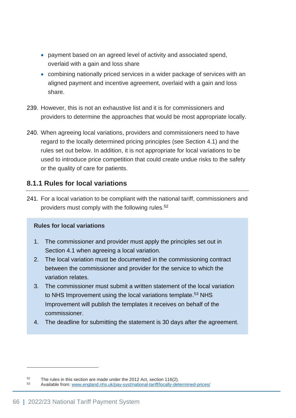- payment based on an agreed level of activity and associated spend, overlaid with a gain and loss share
- combining nationally priced services in a wider package of services with an aligned payment and incentive agreement, overlaid with a gain and loss share.
- 239. However, this is not an exhaustive list and it is for commissioners and providers to determine the approaches that would be most appropriate locally.
- 240. When agreeing local variations, providers and commissioners need to have regard to the locally determined pricing principles (see Section 4.1) and the rules set out below. In addition, it is not appropriate for local variations to be used to introduce price competition that could create undue risks to the safety or the quality of care for patients.

## **8.1.1 Rules for local variations**

241. For a local variation to be compliant with the national tariff, commissioners and providers must comply with the following rules.<sup>52</sup>

#### **Rules for local variations**

- 1. The commissioner and provider must apply the principles set out in Section 4.1 when agreeing a local variation.
- 2. The local variation must be documented in the commissioning contract between the commissioner and provider for the service to which the variation relates.
- 3. The commissioner must submit a written statement of the local variation to NHS Improvement using the local variations template.<sup>53</sup> NHS Improvement will publish the templates it receives on behalf of the commissioner.
- 4. The deadline for submitting the statement is 30 days after the agreement.

 $52$  The rules in this section are made under the 2012 Act, section 116(2).

Available from: [www.england.nhs.uk/pay-syst/national-tariff/locally-determined-prices/](https://improvement.nhs.uk/resources/locally-determined-prices/)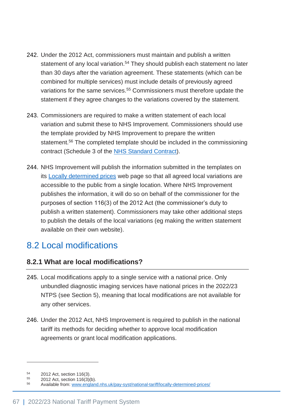- 242. Under the 2012 Act, commissioners must maintain and publish a written statement of any local variation.<sup>54</sup> They should publish each statement no later than 30 days after the variation agreement. These statements (which can be combined for multiple services) must include details of previously agreed variations for the same services.<sup>55</sup> Commissioners must therefore update the statement if they agree changes to the variations covered by the statement.
- 243. Commissioners are required to make a written statement of each local variation and submit these to NHS Improvement. Commissioners should use the template provided by NHS Improvement to prepare the written statement.<sup>56</sup> The completed template should be included in the commissioning contract (Schedule 3 of the [NHS Standard Contract\)](https://www.england.nhs.uk/nhs-standard-contract/).
- 244. NHS Improvement will publish the information submitted in the templates on its [Locally determined prices](http://www.england.nhs.uk/pay-syst/national-tariff/locally-determined-prices/) web page so that all agreed local variations are accessible to the public from a single location. Where NHS Improvement publishes the information, it will do so on behalf of the commissioner for the purposes of section 116(3) of the 2012 Act (the commissioner's duty to publish a written statement). Commissioners may take other additional steps to publish the details of the local variations (eg making the written statement available on their own website).

# 8.2 Local modifications

## **8.2.1 What are local modifications?**

- 245. Local modifications apply to a single service with a national price. Only unbundled diagnostic imaging services have national prices in the 2022/23 NTPS (see Section 5), meaning that local modifications are not available for any other services.
- 246. Under the 2012 Act, NHS Improvement is required to publish in the national tariff its methods for deciding whether to approve local modification agreements or grant local modification applications.

 $^{54}$  2012 Act, section 116(3).

 $^{55}$  2012 Act, section 116(3)(b).

<sup>56</sup> Available from: [www.england.nhs.uk/pay-syst/national-tariff/locally-determined-prices/](https://improvement.nhs.uk/resources/locally-determined-prices/)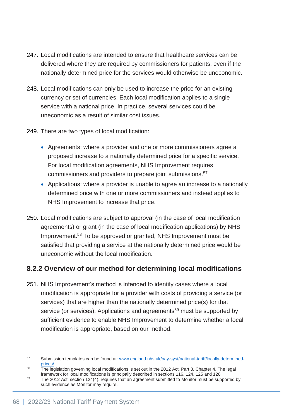- 247. Local modifications are intended to ensure that healthcare services can be delivered where they are required by commissioners for patients, even if the nationally determined price for the services would otherwise be uneconomic.
- 248. Local modifications can only be used to increase the price for an existing currency or set of currencies. Each local modification applies to a single service with a national price. In practice, several services could be uneconomic as a result of similar cost issues.
- 249. There are two types of local modification:
	- Agreements: where a provider and one or more commissioners agree a proposed increase to a nationally determined price for a specific service. For local modification agreements, NHS Improvement requires commissioners and providers to prepare joint submissions.<sup>57</sup>
	- Applications: where a provider is unable to agree an increase to a nationally determined price with one or more commissioners and instead applies to NHS Improvement to increase that price.
- 250. Local modifications are subject to approval (in the case of local modification agreements) or grant (in the case of local modification applications) by NHS Improvement.<sup>58</sup> To be approved or granted, NHS Improvement must be satisfied that providing a service at the nationally determined price would be uneconomic without the local modification.

## **8.2.2 Overview of our method for determining local modifications**

251. NHS Improvement's method is intended to identify cases where a local modification is appropriate for a provider with costs of providing a service (or services) that are higher than the nationally determined price(s) for that service (or services). Applications and agreements<sup>59</sup> must be supported by sufficient evidence to enable NHS Improvement to determine whether a local modification is appropriate, based on our method.

<sup>57</sup> Submission templates can be found at: [www.england.nhs.uk/pay-syst/national-tariff/locally-determined](https://improvement.nhs.uk/resources/locally-determined-prices/)[prices/](https://improvement.nhs.uk/resources/locally-determined-prices/)

 $58$  The legislation governing local modifications is set out in the 2012 Act, Part 3, Chapter 4. The legal framework for local modifications is principally described in sections 116, 124, 125 and 126.

<sup>&</sup>lt;sup>59</sup> The 2012 Act, section 124(4), requires that an agreement submitted to Monitor must be supported by such evidence as Monitor may require.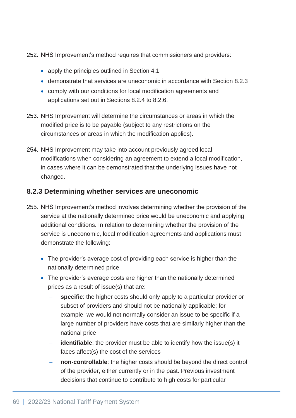252. NHS Improvement's method requires that commissioners and providers:

- apply the principles outlined in Section 4.1
- demonstrate that services are uneconomic in accordance with Section 8.2.3
- comply with our conditions for local modification agreements and applications set out in Sections 8.2.4 to 8.2.6.
- 253. NHS Improvement will determine the circumstances or areas in which the modified price is to be payable (subject to any restrictions on the circumstances or areas in which the modification applies).
- 254. NHS Improvement may take into account previously agreed local modifications when considering an agreement to extend a local modification, in cases where it can be demonstrated that the underlying issues have not changed.

## **8.2.3 Determining whether services are uneconomic**

- 255. NHS Improvement's method involves determining whether the provision of the service at the nationally determined price would be uneconomic and applying additional conditions. In relation to determining whether the provision of the service is uneconomic, local modification agreements and applications must demonstrate the following:
	- The provider's average cost of providing each service is higher than the nationally determined price.
	- The provider's average costs are higher than the nationally determined prices as a result of issue(s) that are:
		- − **specific**: the higher costs should only apply to a particular provider or subset of providers and should not be nationally applicable; for example, we would not normally consider an issue to be specific if a large number of providers have costs that are similarly higher than the national price
		- **identifiable**: the provider must be able to identify how the issue(s) it faces affect(s) the cost of the services
		- **non-controllable**: the higher costs should be beyond the direct control of the provider, either currently or in the past. Previous investment decisions that continue to contribute to high costs for particular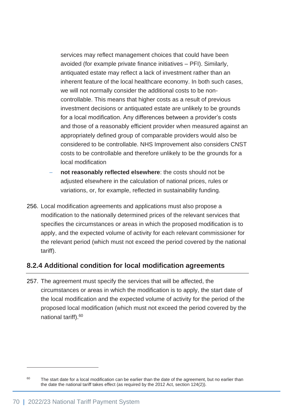services may reflect management choices that could have been avoided (for example private finance initiatives – PFI). Similarly, antiquated estate may reflect a lack of investment rather than an inherent feature of the local healthcare economy. In both such cases, we will not normally consider the additional costs to be noncontrollable. This means that higher costs as a result of previous investment decisions or antiquated estate are unlikely to be grounds for a local modification. Any differences between a provider's costs and those of a reasonably efficient provider when measured against an appropriately defined group of comparable providers would also be considered to be controllable. NHS Improvement also considers CNST costs to be controllable and therefore unlikely to be the grounds for a local modification

- not reasonably reflected elsewhere: the costs should not be adjusted elsewhere in the calculation of national prices, rules or variations, or, for example, reflected in sustainability funding.
- 256. Local modification agreements and applications must also propose a modification to the nationally determined prices of the relevant services that specifies the circumstances or areas in which the proposed modification is to apply, and the expected volume of activity for each relevant commissioner for the relevant period (which must not exceed the period covered by the national tariff).

## **8.2.4 Additional condition for local modification agreements**

257. The agreement must specify the services that will be affected, the circumstances or areas in which the modification is to apply, the start date of the local modification and the expected volume of activity for the period of the proposed local modification (which must not exceed the period covered by the national tariff).<sup>60</sup>

<sup>&</sup>lt;sup>60</sup> The start date for a local modification can be earlier than the date of the agreement, but no earlier than the date the national tariff takes effect (as required by the 2012 Act, section 124(2)).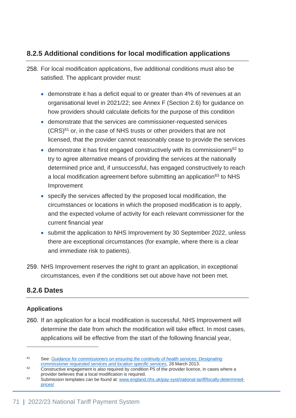## **8.2.5 Additional conditions for local modification applications**

- 258. For local modification applications, five additional conditions must also be satisfied. The applicant provider must:
	- demonstrate it has a deficit equal to or greater than 4% of revenues at an organisational level in 2021/22; see Annex F (Section 2.6) for guidance on how providers should calculate deficits for the purpose of this condition
	- demonstrate that the services are commissioner-requested services  $(CRS)^{61}$  or, in the case of NHS trusts or other providers that are not licensed, that the provider cannot reasonably cease to provide the services
	- demonstrate it has first engaged constructively with its commissioners<sup>62</sup> to try to agree alternative means of providing the services at the nationally determined price and, if unsuccessful, has engaged constructively to reach a local modification agreement before submitting an application<sup>63</sup> to NHS Improvement
	- specify the services affected by the proposed local modification, the circumstances or locations in which the proposed modification is to apply, and the expected volume of activity for each relevant commissioner for the current financial year
	- submit the application to NHS Improvement by 30 September 2022, unless there are exceptional circumstances (for example, where there is a clear and immediate risk to patients).
- 259. NHS Improvement reserves the right to grant an application, in exceptional circumstances, even if the conditions set out above have not been met.

## **8.2.6 Dates**

#### **Applications**

260. If an application for a local modification is successful, NHS Improvement will determine the date from which the modification will take effect. In most cases, applications will be effective from the start of the following financial year,

<sup>61</sup> See: *[Guidance for commissioners on ensuring the continuity of health services; Designating](https://www.gov.uk/government/publications/guidance-for-commissioners-ensuring-the-continuity-of-healthcare-services)  [commissioner requested services and location specific services](https://www.gov.uk/government/publications/guidance-for-commissioners-ensuring-the-continuity-of-healthcare-services)*, 28 March 2013.

<sup>&</sup>lt;sup>62</sup> Constructive engagement is also required by condition P5 of the provider licence, in cases where a provider believes that a local modification is required.

<sup>63</sup> Submission templates can be found at: [www.england.nhs.uk/pay-syst/national-tariff/locally-determined](https://improvement.nhs.uk/resources/locally-determined-prices/)[prices/](https://improvement.nhs.uk/resources/locally-determined-prices/)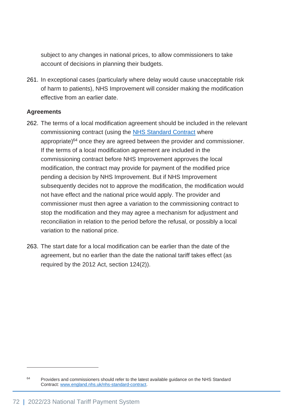subject to any changes in national prices, to allow commissioners to take account of decisions in planning their budgets.

261. In exceptional cases (particularly where delay would cause unacceptable risk of harm to patients), NHS Improvement will consider making the modification effective from an earlier date.

#### **Agreements**

- 262. The terms of a local modification agreement should be included in the relevant commissioning contract (using the [NHS Standard Contract](http://www.england.nhs.uk/nhs-standard-contract/) where appropriate) $64$  once they are agreed between the provider and commissioner. If the terms of a local modification agreement are included in the commissioning contract before NHS Improvement approves the local modification, the contract may provide for payment of the modified price pending a decision by NHS Improvement. But if NHS Improvement subsequently decides not to approve the modification, the modification would not have effect and the national price would apply. The provider and commissioner must then agree a variation to the commissioning contract to stop the modification and they may agree a mechanism for adjustment and reconciliation in relation to the period before the refusal, or possibly a local variation to the national price.
- 263. The start date for a local modification can be earlier than the date of the agreement, but no earlier than the date the national tariff takes effect (as required by the 2012 Act, section 124(2)).

<sup>&</sup>lt;sup>64</sup> Providers and commissioners should refer to the latest available guidance on the NHS Standard Contract: [www.england.nhs.uk/nhs-standard-contract.](http://www.england.nhs.uk/nhs-standard-contract)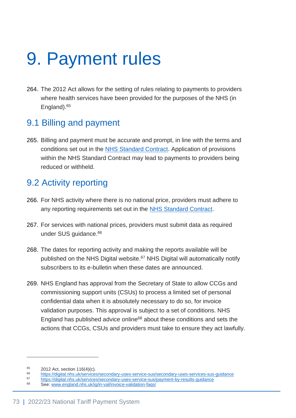## 9. Payment rules

264. The 2012 Act allows for the setting of rules relating to payments to providers where health services have been provided for the purposes of the NHS (in England).<sup>65</sup>

## 9.1 Billing and payment

265. Billing and payment must be accurate and prompt, in line with the terms and conditions set out in the [NHS Standard Contract.](https://www.england.nhs.uk/nhs-standard-contract/) Application of provisions within the NHS Standard Contract may lead to payments to providers being reduced or withheld.

## 9.2 Activity reporting

- 266. For NHS activity where there is no national price, providers must adhere to any reporting requirements set out in the [NHS Standard Contract.](https://www.england.nhs.uk/nhs-standard-contract/)
- 267. For services with national prices, providers must submit data as required under SUS quidance.<sup>66</sup>
- 268. The dates for reporting activity and making the reports available will be published on the NHS Digital website.<sup>67</sup> NHS Digital will automatically notify subscribers to its e-bulletin when these dates are announced.
- 269. NHS England has approval from the Secretary of State to allow CCGs and commissioning support units (CSUs) to process a limited set of personal confidential data when it is absolutely necessary to do so, for invoice validation purposes. This approval is subject to a set of conditions. NHS England has published advice online<sup>68</sup> about these conditions and sets the actions that CCGs, CSUs and providers must take to ensure they act lawfully.

 $^{65}$  2012 Act, section 116(4)(c).

<sup>66</sup> <https://digital.nhs.uk/services/secondary-uses-service-sus/secondary-uses-services-sus-guidance>

<sup>67</sup> <https://digital.nhs.uk/services/secondary-uses-service-sus/payment-by-results-guidance>

See: [www.england.nhs.uk/ig/in-val/invoice-validation-faqs/](http://www.england.nhs.uk/ig/in-val/invoice-validation-faqs/)